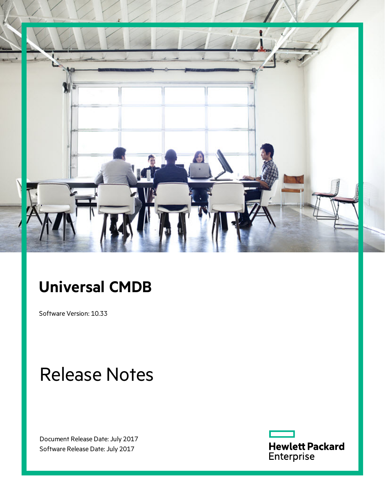

# **Universal CMDB**

Software Version: 10.33

# Release Notes

Document Release Date: July 2017 Software Release Date: July 2017

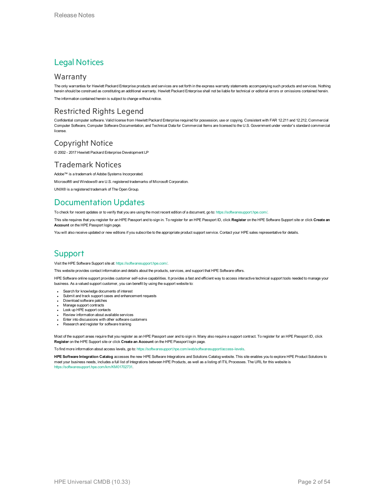# Legal Notices

# **Warranty**

The only warranties for Hewlett Packard Enterprise products and services are set forth in the express warranty statements accompanying such products and services. Nothing herein should be construed as constituting an additional warranty. Hewlett Packard Enterprise shall not be liable for technical or editorial errors or omissions contained herein.

The information contained herein is subject to change without notice.

# Restricted Rights Legend

Confidential computer software. Valid license from Hewlett Packard Enterprise required for possession, use or copying. Consistent with FAR 12.211 and 12.212, Commercial Computer Software, Computer Software Documentation, and Technical Data for Commercial Items are licensed to the U.S. Government under vendor's standard commercial license.

# Copyright Notice

© 2002 - 2017 Hewlett Packard Enterprise Development LP

# Trademark Notices

Adobe™ is a trademark of Adobe Systems Incorporated. Microsoft® and Windows® are U.S. registered trademarks of Microsoft Corporation. UNIX® is a registered trademark of The Open Group.

# Documentation Updates

To check for recent updates or to verify that you are using the most recent edition of a document, go to: <https://softwaresupport.hpe.com/>.

This site requires that you register for an HPE Passport and to sign in. To register for an HPE Passport ID, click **Register** on the HPE Software Support site or click **Create an Account** on the HPE Passport login page.

You will also receive updated or new editions if you subscribe to the appropriate product support service. Contact your HPE sales representative for details.

# **Support**

Visit the HPE Software Support site at: <https://softwaresupport.hpe.com/>.

This website provides contact information and details about the products, services, and support that HPE Software offers.

HPE Software online support provides customer self-solve capabilities. It provides a fast and efficient way to access interactive technical support tools needed to manage your business. As a valued support customer, you can benefit by using the support website to:

- Search for knowledge documents of interest
- Submit and track support cases and enhancement requests
- Download software patches
- **Manage support contracts**
- Look up HPE support contacts
- Review information about available services Enter into discussions with other software customers
- Research and register for software training

Most of the support areas require that you register as an HPE Passport user and to sign in. Many also require a support contract. To register for an HPE Passport ID, click **Register** on the HPE Support site or click **Create an Account** on the HPE Passport login page.

To find more information about access levels, go to: <https://softwaresupport.hpe.com/web/softwaresupport/access-levels>.

**HPE Software Integration Catalog** accesses the new HPE Software Integrations and Solutions Catalog website. This site enables you to explore HPE Product Solutions to meet your business needs, includes a full list of Integrations between HPE Products, as well as a listing of ITIL Processes. The URL for this website is [https://softwaresupport.hpe.com/km/KM01702731.](https://softwaresupport.hpe.com/km/KM01702731)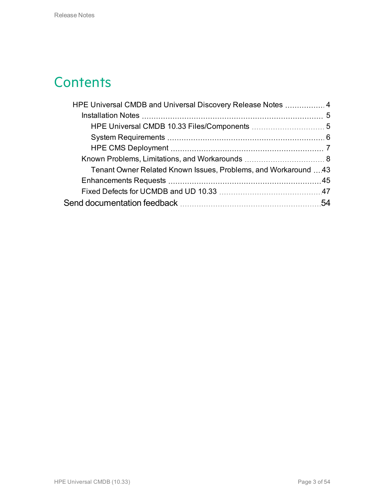# **Contents**

| HPE Universal CMDB and Universal Discovery Release Notes  4    |  |
|----------------------------------------------------------------|--|
|                                                                |  |
|                                                                |  |
|                                                                |  |
|                                                                |  |
|                                                                |  |
| Tenant Owner Related Known Issues, Problems, and Workaround 43 |  |
|                                                                |  |
|                                                                |  |
|                                                                |  |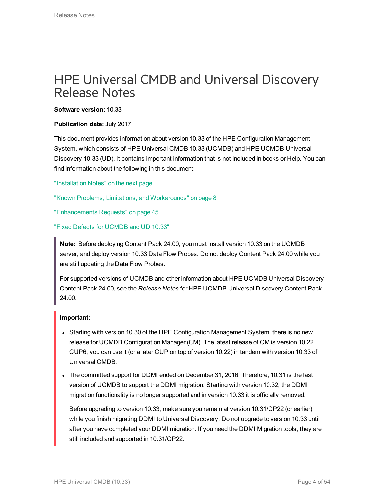# <span id="page-3-0"></span>HPE Universal CMDB and Universal Discovery Release Notes

**Software version:** 10.33

### **Publication date:** July 2017

This document provides information about version 10.33 of the HPE Configuration Management System, which consists of HPE Universal CMDB 10.33 (UCMDB) and HPE UCMDB Universal Discovery 10.33 (UD). It contains important information that is not included in books or Help. You can find information about the following in this document:

## ["Installation](#page-4-0) Notes" on the next page

"Known Problems, Limitations, and [Workarounds"](#page-7-0) on page 8

["Enhancements](#page-44-0) Requests" on page 45

# "Fixed Defects for [UCMDB](#page-46-0) and UD 10.33"

**Note:** Before deploying Content Pack 24.00, you must install version 10.33 on the UCMDB server, and deploy version 10.33 Data Flow Probes. Do not deploy Content Pack 24.00 while you are still updating the Data Flow Probes.

For supported versions of UCMDB and other information about HPE UCMDB Universal Discovery Content Pack 24.00, see the *Release Notes* for HPE UCMDB Universal Discovery Content Pack 24.00.

# **Important:**

- Starting with version 10.30 of the HPE Configuration Management System, there is no new release for UCMDB Configuration Manager (CM). The latest release of CM is version 10.22 CUP6, you can use it (or a later CUP on top of version 10.22) in tandem with version 10.33 of Universal CMDB.
- The committed support for DDMI ended on December 31, 2016. Therefore, 10.31 is the last version of UCMDB to support the DDMI migration. Starting with version 10.32, the DDMI migration functionality is no longer supported and in version 10.33 it is officially removed.

Before upgrading to version 10.33, make sure you remain at version 10.31/CP22 (or earlier) while you finish migrating DDMI to Universal Discovery. Do not upgrade to version 10.33 until after you have completed your DDMI migration. If you need the DDMI Migration tools, they are still included and supported in 10.31/CP22.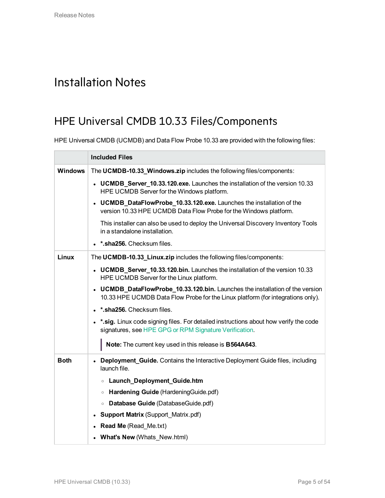# <span id="page-4-1"></span><span id="page-4-0"></span>Installation Notes

# HPE Universal CMDB 10.33 Files/Components

HPE Universal CMDB (UCMDB) and Data Flow Probe 10.33 are provided with the following files:

|                | <b>Included Files</b>                                                                                                                                            |  |  |  |
|----------------|------------------------------------------------------------------------------------------------------------------------------------------------------------------|--|--|--|
| <b>Windows</b> | The UCMDB-10.33_Windows.zip includes the following files/components:                                                                                             |  |  |  |
|                | • UCMDB_Server_10.33.120.exe. Launches the installation of the version 10.33<br>HPE UCMDB Server for the Windows platform.                                       |  |  |  |
|                | • UCMDB_DataFlowProbe_10.33.120.exe. Launches the installation of the<br>version 10.33 HPE UCMDB Data Flow Probe for the Windows platform.                       |  |  |  |
|                | This installer can also be used to deploy the Universal Discovery Inventory Tools<br>in a standalone installation.                                               |  |  |  |
|                | *.sha256. Checksum files.                                                                                                                                        |  |  |  |
| Linux          | The UCMDB-10.33_Linux.zip includes the following files/components:                                                                                               |  |  |  |
|                | • UCMDB_Server_10.33.120.bin. Launches the installation of the version 10.33<br>HPE UCMDB Server for the Linux platform.                                         |  |  |  |
|                | • UCMDB_DataFlowProbe_10.33.120.bin. Launches the installation of the version<br>10.33 HPE UCMDB Data Flow Probe for the Linux platform (for integrations only). |  |  |  |
|                | . *. sha256. Checksum files.                                                                                                                                     |  |  |  |
|                | . *. sig. Linux code signing files. For detailed instructions about how verify the code<br>signatures, see HPE GPG or RPM Signature Verification.                |  |  |  |
|                | Note: The current key used in this release is B564A643.                                                                                                          |  |  |  |
| <b>Both</b>    | • Deployment_Guide. Contains the Interactive Deployment Guide files, including<br>launch file.                                                                   |  |  |  |
|                | Launch_Deployment_Guide.htm<br>$\circ$                                                                                                                           |  |  |  |
|                | • Hardening Guide (Hardening Guide.pdf)                                                                                                                          |  |  |  |
|                | Database Guide (DatabaseGuide.pdf)<br>$\circ$                                                                                                                    |  |  |  |
|                | <b>Support Matrix (Support_Matrix.pdf)</b><br>٠                                                                                                                  |  |  |  |
|                | <b>Read Me</b> (Read Me.txt)                                                                                                                                     |  |  |  |
|                | • What's New (Whats_New.html)                                                                                                                                    |  |  |  |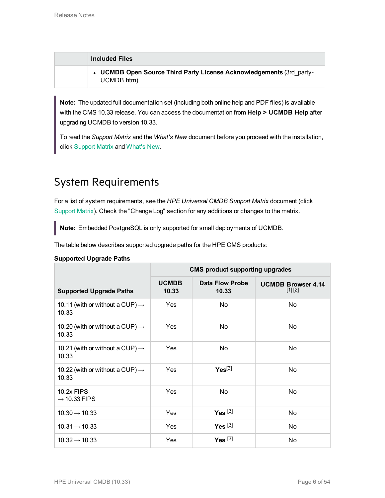| <b>Included Files</b>                                                              |
|------------------------------------------------------------------------------------|
| • UCMDB Open Source Third Party License Acknowledgements (3rd party-<br>UCMDB.htm) |

**Note:** The updated full documentation set (including both online help and PDF files) is available with the CMS 10.33 release. You can access the documentation from **Help > UCMDB Help** after upgrading UCMDB to version 10.33.

<span id="page-5-0"></span>To read the *Support Matrix* and the *What's New* document before you proceed with the installation, click [Support](https://softwaresupport.hpe.com/km/KM02857472) Matrix and [What's](https://softwaresupport.hpe.com/km/KM02857473) New.

# System Requirements

For a list of system requirements, see the *HPE Universal CMDB Support Matrix* document (click [Support](https://softwaresupport.hpe.com/km/KM02857472) Matrix). Check the "Change Log" section for any additions or changes to the matrix.

**Note:** Embedded PostgreSQL is only supported for small deployments of UCMDB.

The table below describes supported upgrade paths for the HPE CMS products:

## **Supported Upgrade Paths**

|                                                      | <b>CMS product supporting upgrades</b> |                          |                                        |
|------------------------------------------------------|----------------------------------------|--------------------------|----------------------------------------|
| <b>Supported Upgrade Paths</b>                       | <b>UCMDB</b><br>10.33                  | Data Flow Probe<br>10.33 | <b>UCMDB Browser 4.14</b><br>$[1] [2]$ |
| 10.11 (with or without a CUP) $\rightarrow$<br>10.33 | Yes                                    | No                       | No                                     |
| 10.20 (with or without a CUP) $\rightarrow$<br>10.33 | Yes                                    | No                       | No.                                    |
| 10.21 (with or without a CUP) $\rightarrow$<br>10.33 | Yes                                    | No                       | No                                     |
| 10.22 (with or without a CUP) $\rightarrow$<br>10.33 | Yes                                    | $Yes^{[3]}$              | No.                                    |
| 10.2x FIPS<br>$\rightarrow$ 10.33 FIPS               | <b>Yes</b>                             | No                       | No                                     |
| $10.30 \rightarrow 10.33$                            | Yes                                    | Yes $[3]$                | No.                                    |
| $10.31 \rightarrow 10.33$                            | Yes                                    | Yes $[3]$                | No                                     |
| $10.32 \rightarrow 10.33$                            | Yes                                    | $Yes$ [3]                | No.                                    |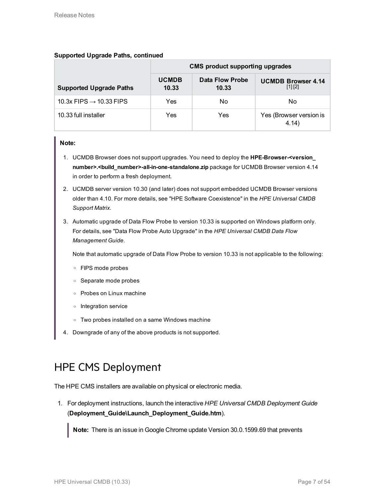# **Supported Upgrade Paths, continued**

|                                     | <b>CMS product supporting upgrades</b> |                          |                                          |
|-------------------------------------|----------------------------------------|--------------------------|------------------------------------------|
| <b>Supported Upgrade Paths</b>      | <b>UCMDB</b><br>10.33                  | Data Flow Probe<br>10.33 | <b>UCMDB Browser 4.14</b><br>$[1]$ $[2]$ |
| 10.3x FIPS $\rightarrow$ 10.33 FIPS | Yes                                    | No                       | No                                       |
| 10.33 full installer                | Yes                                    | Yes                      | Yes (Browser version is<br>4.14)         |

## **Note:**

- 1. UCMDB Browser does not support upgrades. You need to deploy the **HPE-Browser-<version\_ number>.<build\_number>-all-in-one-standalone.zip** package for UCMDB Browser version 4.14 in order to perform a fresh deployment.
- 2. UCMDB server version 10.30 (and later) does not support embedded UCMDB Browser versions older than 4.10. For more details, see "HPE Software Coexistence" in the *HPE Universal CMDB Support Matrix*.
- 3. Automatic upgrade of Data Flow Probe to version 10.33 is supported on Windows platform only. For details, see "Data Flow Probe Auto Upgrade" in the *HPE Universal CMDB Data Flow Management Guide*.

Note that automatic upgrade of Data Flow Probe to version 10.33 is not applicable to the following:

- o FIPS mode probes
- o Separate mode probes
- o Probes on Linux machine
- o Integration service
- o Two probes installed on a same Windows machine
- <span id="page-6-0"></span>4. Downgrade of any of the above products is not supported.

# HPE CMS Deployment

The HPE CMS installers are available on physical or electronic media.

1. For deployment instructions, launch the interactive *HPE Universal CMDB Deployment Guide* (**Deployment\_Guide\Launch\_Deployment\_Guide.htm**).

**Note:** There is an issue in Google Chrome update Version 30.0.1599.69 that prevents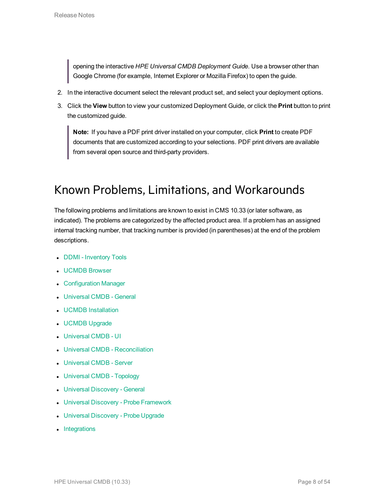opening the interactive *HPE Universal CMDB Deployment Guide*. Use a browser other than Google Chrome (for example, Internet Explorer or Mozilla Firefox) to open the guide.

- 2. In the interactive document select the relevant product set, and select your deployment options.
- 3. Click the **View** button to view your customized Deployment Guide, or click the **Print** button to print the customized guide.

**Note:** If you have a PDF print driver installed on your computer, click **Print** to create PDF documents that are customized according to your selections. PDF print drivers are available from several open source and third-party providers.

# <span id="page-7-0"></span>Known Problems, Limitations, and Workarounds

The following problems and limitations are known to exist in CMS 10.33 (or later software, as indicated). The problems are categorized by the affected product area. If a problem has an assigned internal tracking number, that tracking number is provided (in parentheses) at the end of the problem descriptions.

- DDMI [Inventory](#page-8-0) Tools
- **.** [UCMDB](#page-8-1) Browser
- [Configuration](#page-9-0) Manager
- [Universal](#page-10-0) CMDB General
- UCMDB [Installation](#page-14-0)
- **.** [UCMDB](#page-15-0) Upgrade
- **.** [Universal](#page-20-0) CMDB UI
- **.** Universal CMDB [Reconciliation](#page-19-0)
- [Universal](#page-23-0) CMDB Server
- [Universal](#page-26-0) CMDB Topology
- Universal [Discovery](#page-27-0) General
- Universal Discovery Probe [Framework](#page-36-0)
- Universal [Discovery](#page-38-0) Probe Upgrade
- [Integrations](#page-38-1)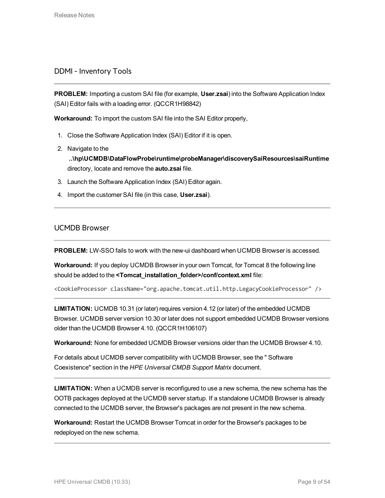# <span id="page-8-0"></span>DDMI - Inventory Tools

**PROBLEM:** Importing a custom SAI file (for example, **User.zsai**) into the Software Application Index (SAI) Editor fails with a loading error. (QCCR1H98842)

**Workaround:** To import the custom SAI file into the SAI Editor properly,

- 1. Close the Software Application Index (SAI) Editor if it is open.
- 2. Navigate to the **..\hp\UCMDB\DataFlowProbe\runtime\probeManager\discoverySaiResources\saiRuntime** directory, locate and remove the **auto.zsai** file.
- 3. Launch the Software Application Index (SAI) Editor again.
- 4. Import the customer SAI file (in this case, **User.zsai**).

# <span id="page-8-1"></span>UCMDB Browser

**PROBLEM:** LW-SSO fails to work with the new-ui dashboard when UCMDB Browser is accessed.

**Workaround:** If you deploy UCMDB Browser in your own Tomcat, for Tomcat 8 the following line should be added to the **<Tomcat\_installation\_folder>/conf/context.xml** file:

<CookieProcessor className="org.apache.tomcat.util.http.LegacyCookieProcessor" />

**LIMITATION:** UCMDB 10.31 (or later) requires version 4.12 (or later) of the embedded UCMDB Browser. UCMDB server version 10.30 or later does not support embedded UCMDB Browser versions older than the UCMDB Browser 4.10. (QCCR1H106107)

**Workaround:** None for embedded UCMDB Browser versions older than the UCMDB Browser 4.10.

For details about UCMDB server compatibility with UCMDB Browser, see the " Software Coexistence" section in the *HPE Universal CMDB Support Matrix* document.

**LIMITATION:** When a UCMDB server is reconfigured to use a new schema, the new schema has the OOTB packages deployed at the UCMDB server startup. If a standalone UCMDB Browser is already connected to the UCMDB server, the Browser's packages are not present in the new schema.

**Workaround:** Restart the UCMDB Browser Tomcat in order for the Browser's packages to be redeployed on the new schema.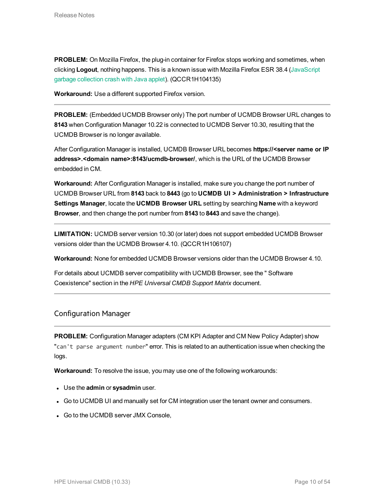**PROBLEM:** On Mozilla Firefox, the plug-in container for Firefox stops working and sometimes, when clicking **Logout**, nothing happens. This is a known issue with Mozilla Firefox ESR 38.4 [\(JavaScript](https://www.mozilla.org/en-US/security/advisories/mfsa2015-130/) garbage [collection](https://www.mozilla.org/en-US/security/advisories/mfsa2015-130/) crash with Java applet). (QCCR1H104135)

**Workaround:** Use a different supported Firefox version.

**PROBLEM:** (Embedded UCMDB Browser only) The port number of UCMDB Browser URL changes to **8143** when Configuration Manager 10.22 is connected to UCMDB Server 10.30, resulting that the UCMDB Browser is no longer available.

After Configuration Manager is installed, UCMDB Browser URL becomes **https://<server name or IP address>.<domain name>:8143/ucmdb-browser/**, which is the URL of the UCMDB Browser embedded in CM.

**Workaround:** After Configuration Manager is installed, make sure you change the port number of UCMDB Browser URL from **8143** back to **8443** (go to **UCMDB UI > Administration > Infrastructure Settings Manager**, locate the **UCMDB Browser URL** setting by searching **Name** with a keyword **Browser**, and then change the port number from **8143** to **8443** and save the change).

**LIMITATION:** UCMDB server version 10.30 (or later) does not support embedded UCMDB Browser versions older than the UCMDB Browser 4.10. (QCCR1H106107)

**Workaround:** None for embedded UCMDB Browser versions older than the UCMDB Browser 4.10.

For details about UCMDB server compatibility with UCMDB Browser, see the " Software Coexistence" section in the *HPE Universal CMDB Support Matrix* document.

# <span id="page-9-0"></span>Configuration Manager

**PROBLEM:** Configuration Manager adapters (CM KPI Adapter and CM New Policy Adapter) show "can't parse argument number" error. This is related to an authentication issue when checking the logs.

**Workaround:** To resolve the issue, you may use one of the following workarounds:

- **.** Use the **admin** or **sysadmin** user.
- Go to UCMDB UI and manually set for CM integration user the tenant owner and consumers.
- Go to the UCMDB server JMX Console,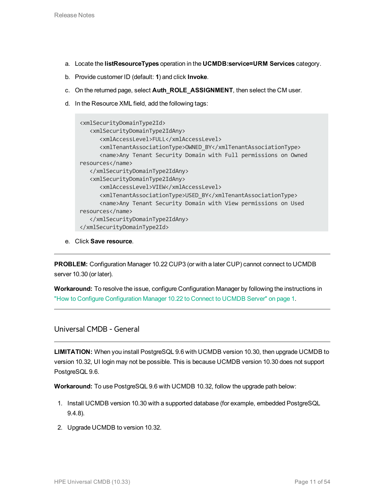- a. Locate the **listResourceTypes** operation in the **UCMDB:service=URM Services** category.
- b. Provide customer ID (default: **1**) and click **Invoke**.
- c. On the returned page, select **Auth\_ROLE\_ASSIGNMENT**, then select the CM user.
- d. In the Resource XML field, add the following tags:

```
<xmlSecurityDomainType2Id>
   <xmlSecurityDomainType2IdAny>
      <xmlAccessLevel>FULL</xmlAccessLevel>
      <xmlTenantAssociationType>OWNED_BY</xmlTenantAssociationType>
      <name>Any Tenant Security Domain with Full permissions on Owned
resources</name>
   </xmlSecurityDomainType2IdAny>
   <xmlSecurityDomainType2IdAny>
      <xmlAccessLevel>VIEW</xmlAccessLevel>
      <xmlTenantAssociationType>USED_BY</xmlTenantAssociationType>
      <name>Any Tenant Security Domain with View permissions on Used
resources</name>
   </xmlSecurityDomainType2IdAny>
</xmlSecurityDomainType2Id>
```
e. Click **Save resource**.

**PROBLEM:** Configuration Manager 10.22 CUP3 (or with a later CUP) cannot connect to UCMDB server 10.30 (or later).

**Workaround:** To resolve the issue, configure Configuration Manager by following the instructions in "How to Configure Configuration Manager 10.22 to Connect to UCMDB Server" on page 1.

<span id="page-10-0"></span>Universal CMDB - General

**LIMITATION:** When you install PostgreSQL 9.6 with UCMDB version 10.30, then upgrade UCMDB to version 10.32, UI login may not be possible. This is because UCMDB version 10.30 does not support PostgreSQL 9.6.

**Workaround:** To use PostgreSQL 9.6 with UCMDB 10.32, follow the upgrade path below:

- 1. Install UCMDB version 10.30 with a supported database (for example, embedded PostgreSQL 9.4.8).
- 2. Upgrade UCMDB to version 10.32.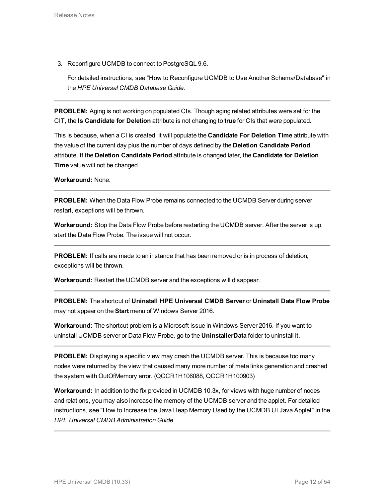3. Reconfigure UCMDB to connect to PostgreSQL 9.6.

For detailed instructions, see "How to Reconfigure UCMDB to Use Another Schema/Database" in the *HPE Universal CMDB Database Guide*.

**PROBLEM:** Aging is not working on populated CIs. Though aging related attributes were set for the CIT, the **Is Candidate for Deletion** attribute is not changing to **true** for CIs that were populated.

This is because, when a CI is created, it will populate the **Candidate For Deletion Time** attribute with the value of the current day plus the number of days defined by the **Deletion Candidate Period** attribute. If the **Deletion Candidate Period** attribute is changed later, the **Candidate for Deletion Time** value will not be changed.

**Workaround:** None.

**PROBLEM:** When the Data Flow Probe remains connected to the UCMDB Server during server restart, exceptions will be thrown.

**Workaround:** Stop the Data Flow Probe before restarting the UCMDB server. After the server is up, start the Data Flow Probe. The issue will not occur.

**PROBLEM:** If calls are made to an instance that has been removed or is in process of deletion, exceptions will be thrown.

**Workaround:** Restart the UCMDB server and the exceptions will disappear.

**PROBLEM:** The shortcut of **Uninstall HPE Universal CMDB Server** or **Uninstall Data Flow Probe** may not appear on the **Start** menu of Windows Server 2016.

**Workaround:** The shortcut problem is a Microsoft issue in Windows Server 2016. If you want to uninstall UCMDB server or Data Flow Probe, go to the **UninstallerData** folder to uninstall it.

**PROBLEM:** Displaying a specific view may crash the UCMDB server. This is because too many nodes were returned by the view that caused many more number of meta links generation and crashed the system with OutOfMemory error. (QCCR1H106088, QCCR1H100903)

**Workaround:** In addition to the fix provided in UCMDB 10.3x, for views with huge number of nodes and relations, you may also increase the memory of the UCMDB server and the applet. For detailed instructions, see "How to Increase the Java Heap Memory Used by the UCMDB UI Java Applet" in the *HPE Universal CMDB Administration Guide*.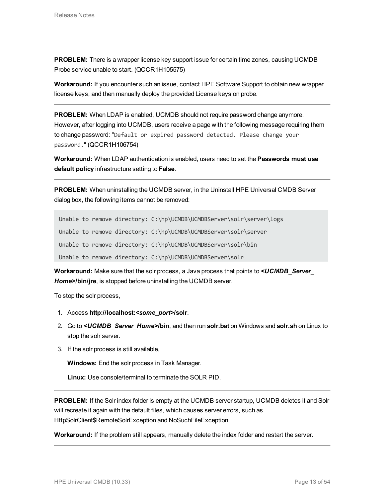**PROBLEM:** There is a wrapper license key support issue for certain time zones, causing UCMDB Probe service unable to start. (QCCR1H105575)

**Workaround:** If you encounter such an issue, contact HPE Software Support to obtain new wrapper license keys, and then manually deploy the provided License keys on probe.

**PROBLEM:** When LDAP is enabled, UCMDB should not require password change anymore. However, after logging into UCMDB, users receive a page with the following message requiring them to change password: "Default or expired password detected. Please change your password." (QCCR1H106754)

**Workaround:** When LDAP authentication is enabled, users need to set the **Passwords must use default policy** infrastructure setting to **False**.

**PROBLEM:** When uninstalling the UCMDB server, in the Uninstall HPE Universal CMDB Server dialog box, the following items cannot be removed:

Unable to remove directory: C:\hp\UCMDB\UCMDBServer\solr\server\logs

Unable to remove directory: C:\hp\UCMDB\UCMDBServer\solr\server

Unable to remove directory: C:\hp\UCMDB\UCMDBServer\solr\bin

Unable to remove directory: C:\hp\UCMDB\UCMDBServer\solr

**Workaround:** Make sure that the solr process, a Java process that points to *<UCMDB\_Server\_ Home>***/bin/jre**, is stopped before uninstalling the UCMDB server.

To stop the solr process,

- 1. Access **http://localhost:***<some\_port>***/solr**.
- 2. Go to *<UCMDB\_Server\_Home>***/bin**, and then run **solr.bat** on Windows and **solr.sh** on Linux to stop the solr server.
- 3. If the solr process is still available,

**Windows:** End the solr process in Task Manager.

**Linux:** Use console/terminal to terminate the SOLR PID.

**PROBLEM:** If the Solr index folder is empty at the UCMDB server startup, UCMDB deletes it and Solr will recreate it again with the default files, which causes server errors, such as HttpSolrClient\$RemoteSolrException and NoSuchFileException.

**Workaround:** If the problem still appears, manually delete the index folder and restart the server.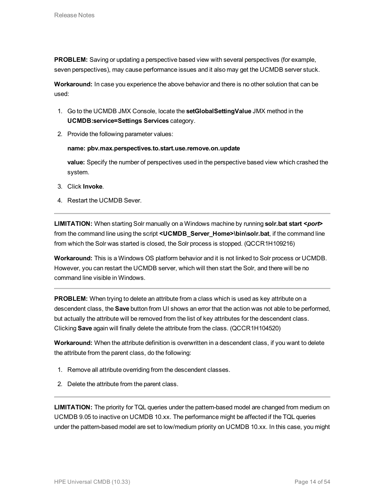**PROBLEM:** Saving or updating a perspective based view with several perspectives (for example, seven perspectives), may cause performance issues and it also may get the UCMDB server stuck.

**Workaround:** In case you experience the above behavior and there is no other solution that can be used:

- 1. Go to the UCMDB JMX Console, locate the **setGlobalSettingValue** JMX method in the **UCMDB:service=Settings Services** category.
- 2. Provide the following parameter values:

### **name: pbv.max.perspectives.to.start.use.remove.on.update**

**value:** Specify the number of perspectives used in the perspective based view which crashed the system.

- 3. Click **Invoke**.
- 4. Restart the UCMDB Sever.

**LIMITATION:** When starting Solr manually on a Windows machine by running **solr.bat start <***port***>** from the command line using the script **<UCMDB\_Server\_Home>\bin\solr.bat**, if the command line from which the Solr was started is closed, the Solr process is stopped. (QCCR1H109216)

**Workaround:** This is a Windows OS platform behavior and it is not linked to Solr process or UCMDB. However, you can restart the UCMDB server, which will then start the Solr, and there will be no command line visible in Windows.

**PROBLEM:** When trying to delete an attribute from a class which is used as key attribute on a descendent class, the **Save** button from UI shows an error that the action was not able to be performed, but actually the attribute will be removed from the list of key attributes for the descendent class. Clicking **Save** again will finally delete the attribute from the class. (QCCR1H104520)

**Workaround:** When the attribute definition is overwritten in a descendent class, if you want to delete the attribute from the parent class, do the following:

- 1. Remove all attribute overriding from the descendent classes.
- 2. Delete the attribute from the parent class.

**LIMITATION:** The priority for TQL queries under the pattern-based model are changed from medium on UCMDB 9.05 to inactive on UCMDB 10.xx. The performance might be affected if the TQL queries under the pattern-based model are set to low/medium priority on UCMDB 10.xx. In this case, you might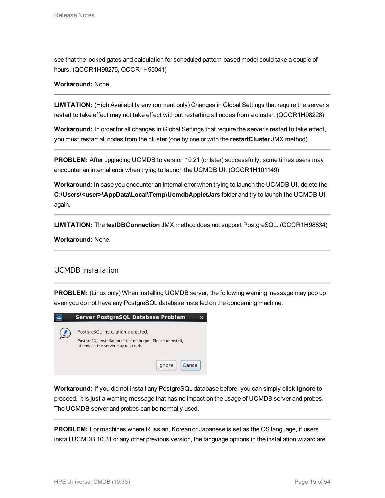see that the locked gates and calculation for scheduled pattern-based model could take a couple of hours. (QCCR1H98275, QCCR1H95041)

# **Workaround:** None.

**LIMITATION:** (High Availability environment only) Changes in Global Settings that require the server's restart to take effect may not take effect without restarting all nodes from a cluster. (QCCR1H98228)

**Workaround:** In order for all changes in Global Settings that require the server's restart to take effect, you must restart all nodes from the cluster (one by one or with the **restartCluster** JMX method).

**PROBLEM:** After upgrading UCMDB to version 10.21 (or later) successfully, some times users may encounter an internal error when trying to launch the UCMDB UI. (QCCR1H101149)

**Workaround:** In case you encounter an internal error when trying to launch the UCMDB UI, delete the **C:\Users\<user>\AppData\Local\Temp\UcmdbAppletJars** folder and try to launch the UCMDB UI again.

**LIMITATION:** The **testDBConnection** JMX method does not support PostgreSQL. (QCCR1H98834)

<span id="page-14-0"></span>**Workaround:** None.

# UCMDB Installation

**PROBLEM:** (Linux only) When installing UCMDB server, the following warning message may pop up even you do not have any PostgreSQL database installed on the concerning machine:

| Server PostgreSQL Database Problem                                                              |  |
|-------------------------------------------------------------------------------------------------|--|
| PostgreSQL installation detected.<br>PostgreSQL installation detected in rpm. Please uninstall, |  |
| otherwise the server may not work<br>Cancel<br>Ignore                                           |  |

**Workaround:** If you did not install any PostgreSQL database before, you can simply click **Ignore** to proceed. It is just a warning message that has no impact on the usage of UCMDB server and probes. The UCMDB server and probes can be normally used.

**PROBLEM:** For machines where Russian, Korean or Japanese is set as the OS language, if users install UCMDB 10.31 or any other previous version, the language options in the installation wizard are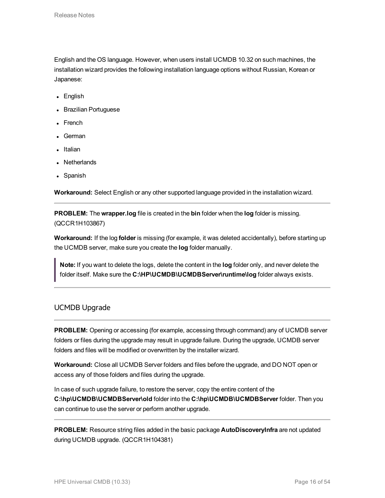English and the OS language. However, when users install UCMDB 10.32 on such machines, the installation wizard provides the following installation language options without Russian, Korean or Japanese:

- English
- Brazilian Portuguese
- French
- German
- Italian
- **Netherlands**
- Spanish

**Workaround:** Select English or any other supported language provided in the installation wizard.

**PROBLEM:** The **wrapper.log** file is created in the **bin** folder when the **log** folder is missing. (QCCR1H103867)

**Workaround:** If the log **folder** is missing (for example, it was deleted accidentally), before starting up the UCMDB server, make sure you create the **log** folder manually.

**Note:** If you want to delete the logs, delete the content in the **log** folder only, and never delete the folder itself. Make sure the **C:\HP\UCMDB\UCMDBServer\runtime\log** folder always exists.

# <span id="page-15-0"></span>UCMDB Upgrade

**PROBLEM:** Opening or accessing (for example, accessing through command) any of UCMDB server folders or files during the upgrade may result in upgrade failure. During the upgrade, UCMDB server folders and files will be modified or overwritten by the installer wizard.

**Workaround:** Close all UCMDB Server folders and files before the upgrade, and DO NOT open or access any of those folders and files during the upgrade.

In case of such upgrade failure, to restore the server, copy the entire content of the **C:\hp\UCMDB\UCMDBServer\old** folder into the **C:\hp\UCMDB\UCMDBServer** folder. Then you can continue to use the server or perform another upgrade.

**PROBLEM:** Resource string files added in the basic package **AutoDiscoveryInfra** are not updated during UCMDB upgrade. (QCCR1H104381)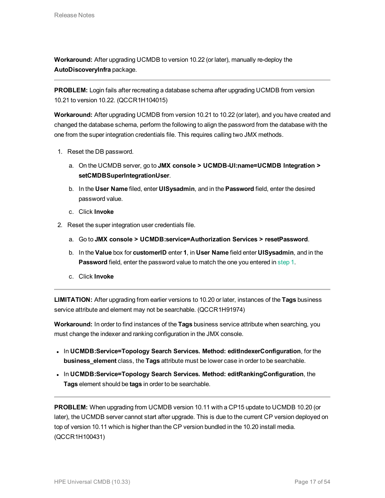**Workaround:** After upgrading UCMDB to version 10.22 (or later), manually re-deploy the **AutoDiscoveryInfra** package.

**PROBLEM:** Login fails after recreating a database schema after upgrading UCMDB from version 10.21 to version 10.22. (QCCR1H104015)

**Workaround:** After upgrading UCMDB from version 10.21 to 10.22 (or later), and you have created and changed the database schema, perform the following to align the password from the database with the one from the super integration credentials file. This requires calling two JMX methods.

- <span id="page-16-0"></span>1. Reset the DB password.
	- a. On the UCMDB server, go to **JMX console > UCMDB-UI:name=UCMDB Integration > setCMDBSuperIntegrationUser**.
	- b. In the **User Name** filed, enter **UISysadmin**, and in the **Password** field, enter the desired password value.
	- c. Click **Invoke**
- 2. Reset the super integration user credentials file.
	- a. Go to **JMX console > UCMDB:service=Authorization Services > resetPassword**.
	- b. In the **Value** box for **customerID** enter **1**, in **User Name** field enter **UISysadmin**, and in the **Password** field, enter the password value to match the one you entered in [step](#page-16-0) 1.
	- c. Click **Invoke**

**LIMITATION:** After upgrading from earlier versions to 10.20 or later, instances of the **Tags** business service attribute and element may not be searchable. (QCCR1H91974)

**Workaround:** In order to find instances of the **Tags** business service attribute when searching, you must change the indexer and ranking configuration in the JMX console.

- **.** In UCMDB:Service=Topology Search Services. Method: editIndexerConfiguration, for the **business\_element** class, the **Tags** attribute must be lower case in order to be searchable.
- <sup>l</sup> In **UCMDB:Service=Topology Search Services. Method: editRankingConfiguration**, the **Tags** element should be **tags** in order to be searchable.

**PROBLEM:** When upgrading from UCMDB version 10.11 with a CP15 update to UCMDB 10.20 (or later), the UCMDB server cannot start after upgrade. This is due to the current CP version deployed on top of version 10.11 which is higher than the CP version bundled in the 10.20 install media. (QCCR1H100431)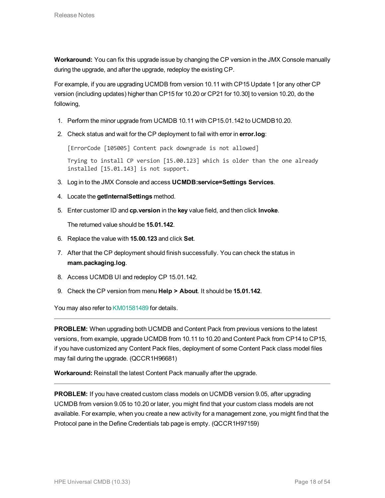**Workaround:** You can fix this upgrade issue by changing the CP version in the JMX Console manually during the upgrade, and after the upgrade, redeploy the existing CP.

For example, if you are upgrading UCMDB from version 10.11 with CP15 Update 1 [or any other CP version (including updates) higher than CP15 for 10.20 or CP21 for 10.30] to version 10.20, do the following,

- 1. Perform the minor upgrade from UCMDB 10.11 with CP15.01.142 to UCMDB10.20.
- 2. Check status and wait for the CP deployment to fail with error in **error.log**:

[ErrorCode [105005] Content pack downgrade is not allowed]

Trying to install CP version [15.00.123] which is older than the one already installed [15.01.143] is not support.

- 3. Log in to the JMX Console and access **UCMDB:service=Settings Services**.
- 4. Locate the **getInternalSettings** method.
- 5. Enter customer ID and **cp.version** in the **key** value field, and then click **Invoke**.

The returned value should be **15.01.142**.

- 6. Replace the value with **15.00.123** and click **Set**.
- 7. After that the CP deployment should finish successfully. You can check the status in **mam.packaging.log**.
- 8. Access UCMDB UI and redeploy CP 15.01.142.
- 9. Check the CP version from menu **Help > About**. It should be **15.01.142**.

You may also refer to [KM01581489](https://softwaresupport.hp.com/group/softwaresupport/search-result/-/facetsearch/document/KM01581489) for details.

**PROBLEM:** When upgrading both UCMDB and Content Pack from previous versions to the latest versions, from example, upgrade UCMDB from 10.11 to 10.20 and Content Pack from CP14 to CP15, if you have customized any Content Pack files, deployment of some Content Pack class model files may fail during the upgrade. (QCCR1H96681)

**Workaround:** Reinstall the latest Content Pack manually after the upgrade.

**PROBLEM:** If you have created custom class models on UCMDB version 9.05, after upgrading UCMDB from version 9.05 to 10.20 or later, you might find that your custom class models are not available. For example, when you create a new activity for a management zone, you might find that the Protocol pane in the Define Credentials tab page is empty. (QCCR1H97159)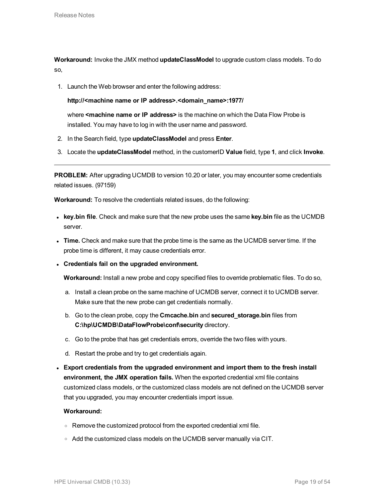<span id="page-18-0"></span>**Workaround:** Invoke the JMX method **updateClassModel** to upgrade custom class models. To do so,

1. Launch the Web browser and enter the following address:

**http://<machine name or IP address>.<domain\_name>:1977/**

where **<machine name or IP address>** is the machine on which the Data Flow Probe is installed. You may have to log in with the user name and password.

- 2. In the Search field, type **updateClassModel** and press **Enter**.
- 3. Locate the **updateClassModel** method, in the customerID **Value** field, type **1**, and click **Invoke**.

**PROBLEM:** After upgrading UCMDB to version 10.20 or later, you may encounter some credentials related issues. (97159)

**Workaround:** To resolve the credentials related issues, do the following:

- **Exampler key.bin file**. Check and make sure that the new probe uses the same **key.bin** file as the UCMDB server.
- <sup>l</sup> **Time.** Check and make sure that the probe time is the same as the UCMDB server time. If the probe time is different, it may cause credentials error.
- <sup>l</sup> **Credentials fail on the upgraded environment.**

**Workaround:** Install a new probe and copy specified files to override problematic files. To do so,

- a. Install a clean probe on the same machine of UCMDB server, connect it to UCMDB server. Make sure that the new probe can get credentials normally.
- b. Go to the clean probe, copy the **Cmcache.bin** and **secured\_storage.bin** files from **C:\hp\UCMDB\DataFlowProbe\conf\security** directory.
- c. Go to the probe that has get credentials errors, override the two files with yours.
- d. Restart the probe and try to get credentials again.
- <sup>l</sup> **Export credentials from the upgraded environment and import them to the fresh install environment, the JMX operation fails.** When the exported credential xml file contains customized class models, or the customized class models are not defined on the UCMDB server that you upgraded, you may encounter credentials import issue.

### **Workaround:**

- Remove the customized protocol from the exported credential xml file.
- <sup>o</sup> Add the customized class models on the UCMDB server manually via CIT.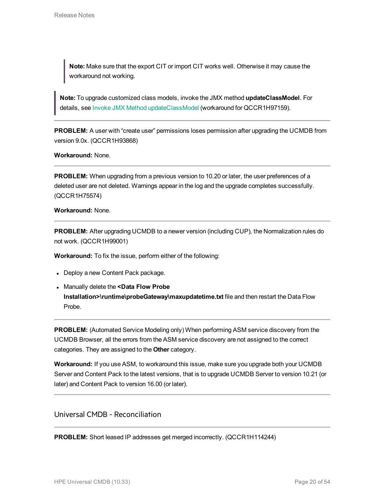**Note:** Make sure that the export CIT or import CIT works well. Otherwise it may cause the workaround not working.

**Note:** To upgrade customized class models, invoke the JMX method **updateClassModel**. For details, see Invoke JMX Method [updateClassModel](#page-18-0) (workaround for QCCR1H97159).

**PROBLEM:** A user with "create user" permissions loses permission after upgrading the UCMDB from version 9.0x. (QCCR1H93868)

**Workaround:** None.

**PROBLEM:** When upgrading from a previous version to 10.20 or later, the user preferences of a deleted user are not deleted. Warnings appear in the log and the upgrade completes successfully. (QCCR1H75574)

#### **Workaround:** None.

**PROBLEM:** After upgrading UCMDB to a newer version (including CUP), the Normalization rules do not work. (QCCR1H99001)

**Workaround:** To fix the issue, perform either of the following:

- Deploy a new Content Pack package.
- <sup>l</sup> Manually delete the **<Data Flow Probe Installation>\runtime\probeGateway\maxupdatetime.txt** file and then restart the Data Flow Probe.

**PROBLEM:** (Automated Service Modeling only) When performing ASM service discovery from the UCMDB Browser, all the errors from the ASM service discovery are not assigned to the correct categories. They are assigned to the **Other** category.

**Workaround:** If you use ASM, to workaround this issue, make sure you upgrade both your UCMDB Server and Content Pack to the latest versions, that is to upgrade UCMDB Server to version 10.21 (or later) and Content Pack to version 16.00 (or later).

<span id="page-19-0"></span>Universal CMDB - Reconciliation

**PROBLEM:** Short leased IP addresses get merged incorrectly. (QCCR1H114244)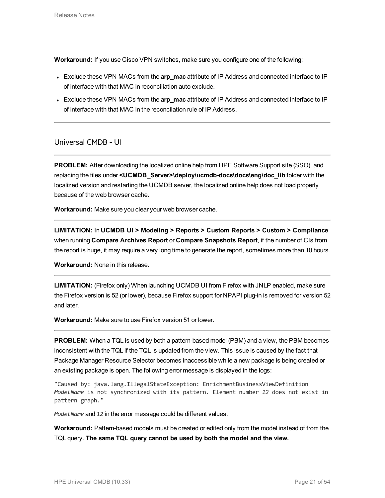**Workaround:** If you use Cisco VPN switches, make sure you configure one of the following:

- **Exclude these VPN MACs from the arp mac** attribute of IP Address and connected interface to IP of interface with that MAC in reconciliation auto exclude.
- **Exclude these VPN MACs from the arp\_mac attribute of IP Address and connected interface to IP** of interface with that MAC in the reconcilation rule of IP Address.

<span id="page-20-0"></span>Universal CMDB - UI

**PROBLEM:** After downloading the localized online help from HPE Software Support site (SSO), and replacing the files under **<UCMDB\_Server>\deploy\ucmdb-docs\docs\eng\doc\_lib** folder with the localized version and restarting the UCMDB server, the localized online help does not load properly because of the web browser cache.

**Workaround:** Make sure you clear your web browser cache.

**LIMITATION:** In **UCMDB UI > Modeling > Reports > Custom Reports > Custom > Compliance**, when running **Compare Archives Report** or **Compare Snapshots Report**, if the number of CIs from the report is huge, it may require a very long time to generate the report, sometimes more than 10 hours.

**Workaround:** None in this release.

**LIMITATION:** (Firefox only) When launching UCMDB UI from Firefox with JNLP enabled, make sure the Firefox version is 52 (or lower), because Firefox support for NPAPI plug-in is removed for version 52 and later.

**Workaround:** Make sure to use Firefox version 51 or lower.

**PROBLEM:** When a TQL is used by both a pattern-based model (PBM) and a view, the PBM becomes inconsistent with the TQL if the TQL is updated from the view. This issue is caused by the fact that Package Manager Resource Selector becomes inaccessible while a new package is being created or an existing package is open. The following error message is displayed in the logs:

"Caused by: java.lang.IllegalStateException: EnrichmentBusinessViewDefinition *ModelName* is not synchronized with its pattern. Element number *12* does not exist in pattern graph."

*ModelName* and *12* in the error message could be different values.

**Workaround:** Pattern-based models must be created or edited only from the model instead of from the TQL query. **The same TQL query cannot be used by both the model and the view.**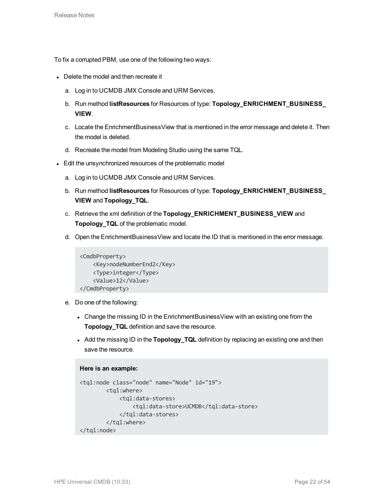To fix a corrupted PBM, use one of the following two ways:

- Delete the model and then recreate it
	- a. Log in to UCMDB JMX Console and URM Services.
	- b. Run method **listResources** for Resources of type: **Topology\_ENRICHMENT\_BUSINESS\_ VIEW**.
	- c. Locate the EnrichmentBusinessView that is mentioned in the error message and delete it. Then the model is deleted.
	- d. Recreate the model from Modeling Studio using the same TQL.
- Edit the unsynchronized resources of the problematic model
	- a. Log in to UCMDB JMX Console and URM Services.
	- b. Run method **listResources** for Resources of type: **Topology\_ENRICHMENT\_BUSINESS\_ VIEW** and **Topology\_TQL**.
	- c. Retrieve the xml definition of the **Topology\_ENRICHMENT\_BUSINESS\_VIEW** and **Topology\_TQL** of the problematic model.
	- d. Open the EnrichmentBusinessView and locate the ID that is mentioned in the error message.

```
<CmdbProperty>
   <Key>nodeNumberEnd2</Key>
    <Type>integer</Type>
    <Value>12</Value>
</CmdbProperty>
```
- e. Do one of the following:
	- Change the missing ID in the EnrichmentBusinessView with an existing one from the **Topology\_TQL** definition and save the resource.
	- Add the missing ID in the **Topology\_TQL** definition by replacing an existing one and then save the resource.

```
Here is an example:
<tql:node class="node" name="Node" id="19">
        <tql:where>
            <tql:data-stores>
                <tql:data-store>UCMDB</tql:data-store>
            </tql:data-stores>
        </tql:where>
</tql:node>
```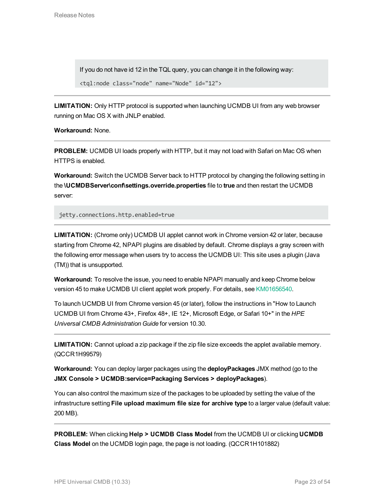If you do not have id 12 in the TQL query, you can change it in the following way:

```
<tql:node class="node" name="Node" id="12">
```
**LIMITATION:** Only HTTP protocol is supported when launching UCMDB UI from any web browser running on Mac OS X with JNLP enabled.

**Workaround:** None.

**PROBLEM:** UCMDB UI loads properly with HTTP, but it may not load with Safari on Mac OS when HTTPS is enabled.

**Workaround:** Switch the UCMDB Server back to HTTP protocol by changing the following setting in the **\UCMDBServer\conf\settings.override.properties** file to **true** and then restart the UCMDB server:

jetty.connections.http.enabled=true

**LIMITATION:** (Chrome only) UCMDB UI applet cannot work in Chrome version 42 or later, because starting from Chrome 42, NPAPI plugins are disabled by default. Chrome displays a gray screen with the following error message when users try to access the UCMDB UI: This site uses a plugin (Java (TM)) that is unsupported.

**Workaround:** To resolve the issue, you need to enable NPAPI manually and keep Chrome below version 45 to make UCMDB UI client applet work properly. For details, see [KM01656540](https://softwaresupport.hp.com/group/softwaresupport/search-result/-/facetsearch/document/KM01656540).

To launch UCMDB UI from Chrome version 45 (or later), follow the instructions in "How to Launch UCMDB UI from Chrome 43+, Firefox 48+, IE 12+, Microsoft Edge, or Safari 10+" in the *HPE Universal CMDB Administration Guide* for version 10.30.

**LIMITATION:** Cannot upload a zip package if the zip file size exceeds the applet available memory. (QCCR1H99579)

**Workaround:** You can deploy larger packages using the **deployPackages** JMX method (go to the **JMX Console > UCMDB:service=Packaging Services > deployPackages**).

You can also control the maximum size of the packages to be uploaded by setting the value of the infrastructure setting **File upload maximum file size for archive type** to a larger value (default value: 200 MB).

**PROBLEM:** When clicking **Help > UCMDB Class Model** from the UCMDB UI or clicking **UCMDB Class Model** on the UCMDB login page, the page is not loading. (QCCR1H101882)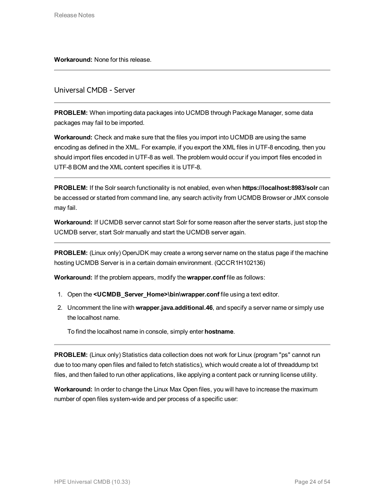<span id="page-23-0"></span>**Workaround:** None for this release.

# Universal CMDB - Server

**PROBLEM:** When importing data packages into UCMDB through Package Manager, some data packages may fail to be imported.

**Workaround:** Check and make sure that the files you import into UCMDB are using the same encoding as defined in the XML. For example, if you export the XML files in UTF-8 encoding, then you should import files encoded in UTF-8 as well. The problem would occur if you import files encoded in UTF-8 BOM and the XML content specifies it is UTF-8.

**PROBLEM:** If the Solr search functionality is not enabled, even when **https://localhost:8983/solr** can be accessed or started from command line, any search activity from UCMDB Browser or JMX console may fail.

**Workaround:** If UCMDB server cannot start Solr for some reason after the server starts, just stop the UCMDB server, start Solr manually and start the UCMDB server again.

**PROBLEM:** (Linux only) OpenJDK may create a wrong server name on the status page if the machine hosting UCMDB Server is in a certain domain environment. (QCCR1H102136)

**Workaround:** If the problem appears, modify the **wrapper.conf** file as follows:

- 1. Open the **<UCMDB\_Server\_Home>\bin\wrapper.conf** file using a text editor.
- 2. Uncomment the line with **wrapper.java.additional.46**, and specify a server name or simply use the localhost name.

To find the localhost name in console, simply enter **hostname**.

**PROBLEM:** (Linux only) Statistics data collection does not work for Linux (program "ps" cannot run due to too many open files and failed to fetch statistics), which would create a lot of threaddump txt files, and then failed to run other applications, like applying a content pack or running license utility.

**Workaround:** In order to change the Linux Max Open files, you will have to increase the maximum number of open files system-wide and per process of a specific user: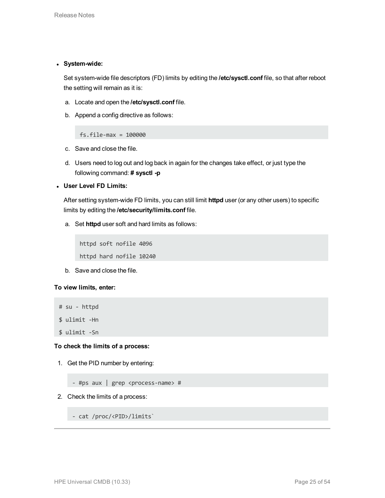### <sup>l</sup> **System-wide:**

Set system-wide file descriptors (FD) limits by editing the **/etc/sysctl.conf** file, so that after reboot the setting will remain as it is:

- a. Locate and open the **/etc/sysctl.conf** file.
- b. Append a config directive as follows:

fs.file-max = 100000

- c. Save and close the file.
- d. Users need to log out and log back in again for the changes take effect, or just type the following command: **# sysctl -p**
- <sup>l</sup> **User Level FD Limits:**

After setting system-wide FD limits, you can still limit **httpd** user (or any other users) to specific limits by editing the **/etc/security/limits.conf** file.

a. Set **httpd** user soft and hard limits as follows:

httpd soft nofile 4096 httpd hard nofile 10240

b. Save and close the file.

# **To view limits, enter:**

```
# su - httpd
$ ulimit -Hn
$ ulimit -Sn
```
## **To check the limits of a process:**

1. Get the PID number by entering:

- #ps aux | grep <process-name> #

2. Check the limits of a process:

- cat /proc/<PID>/limits`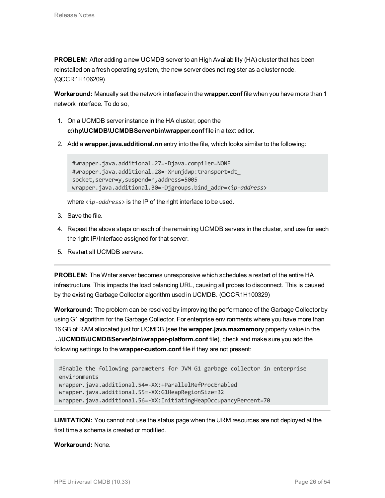**PROBLEM:** After adding a new UCMDB server to an High Availability (HA) cluster that has been reinstalled on a fresh operating system, the new server does not register as a cluster node. (QCCR1H106209)

**Workaround:** Manually set the network interface in the **wrapper.conf** file when you have more than 1 network interface. To do so,

- 1. On a UCMDB server instance in the HA cluster, open the **c:\hp\UCMDB\UCMDBServer\bin\wrapper.conf** file in a text editor.
- 2. Add a **wrapper.java.additional.***nn* entry into the file, which looks similar to the following:

```
#wrapper.java.additional.27=-Djava.compiler=NONE
#wrapper.java.additional.28=-Xrunjdwp:transport=dt_
socket,server=y,suspend=n,address=5005
wrapper.java.additional.30=-Djgroups.bind_addr=<ip-address>
```
where <*ip-address*> is the IP of the right interface to be used.

- 3. Save the file.
- 4. Repeat the above steps on each of the remaining UCMDB servers in the cluster, and use for each the right IP/Interface assigned for that server.
- 5. Restart all UCMDB servers.

**PROBLEM:** The Writer server becomes unresponsive which schedules a restart of the entire HA infrastructure. This impacts the load balancing URL, causing all probes to disconnect. This is caused by the existing Garbage Collector algorithm used in UCMDB. (QCCR1H100329)

**Workaround:** The problem can be resolved by improving the performance of the Garbage Collector by using G1 algorithm for the Garbage Collector. For enterprise environments where you have more than 16 GB of RAM allocated just for UCMDB (see the **wrapper.java.maxmemory** property value in the

**..\UCMDB\UCMDBServer\bin\wrapper-platform.conf** file), check and make sure you add the following settings to the **wrapper-custom.conf** file if they are not present:

```
#Enable the following parameters for JVM G1 garbage collector in enterprise
environments
wrapper.java.additional.54=-XX:+ParallelRefProcEnabled
wrapper.java.additional.55=-XX:G1HeapRegionSize=32
wrapper.java.additional.56=-XX:InitiatingHeapOccupancyPercent=70
```
**LIMITATION:** You cannot not use the status page when the URM resources are not deployed at the first time a schema is created or modified.

### **Workaround:** None.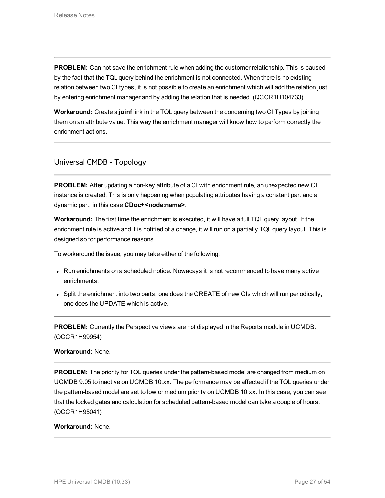**PROBLEM:** Can not save the enrichment rule when adding the customer relationship. This is caused by the fact that the TQL query behind the enrichment is not connected. When there is no existing relation between two CI types, it is not possible to create an enrichment which will add the relation just by entering enrichment manager and by adding the relation that is needed. (QCCR1H104733)

**Workaround:** Create a **joinf** link in the TQL query between the concerning two CI Types by joining them on an attribute value. This way the enrichment manager will know how to perform correctly the enrichment actions.

# <span id="page-26-0"></span>Universal CMDB - Topology

**PROBLEM:** After updating a non-key attribute of a CI with enrichment rule, an unexpected new CI instance is created. This is only happening when populating attributes having a constant part and a dynamic part, in this case **CDoc+<node:name>**.

**Workaround:** The first time the enrichment is executed, it will have a full TQL query layout. If the enrichment rule is active and it is notified of a change, it will run on a partially TQL query layout. This is designed so for performance reasons.

To workaround the issue, you may take either of the following:

- Run enrichments on a scheduled notice. Nowadays it is not recommended to have many active enrichments.
- Split the enrichment into two parts, one does the CREATE of new CIs which will run periodically, one does the UPDATE which is active.

**PROBLEM:** Currently the Perspective views are not displayed in the Reports module in UCMDB. (QCCR1H99954)

### **Workaround:** None.

**PROBLEM:** The priority for TQL queries under the pattern-based model are changed from medium on UCMDB 9.05 to inactive on UCMDB 10.xx. The performance may be affected if the TQL queries under the pattern-based model are set to low or medium priority on UCMDB 10.xx. In this case, you can see that the locked gates and calculation for scheduled pattern-based model can take a couple of hours. (QCCR1H95041)

#### **Workaround:** None.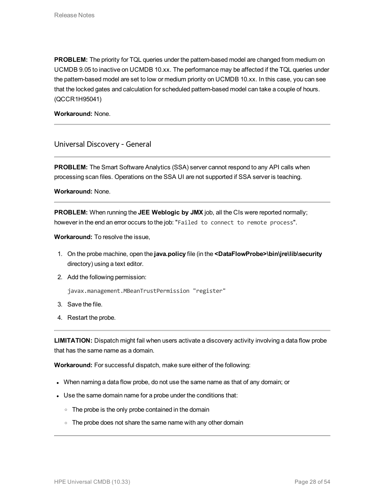**PROBLEM:** The priority for TQL queries under the pattern-based model are changed from medium on UCMDB 9.05 to inactive on UCMDB 10.xx. The performance may be affected if the TQL queries under the pattern-based model are set to low or medium priority on UCMDB 10.xx. In this case, you can see that the locked gates and calculation for scheduled pattern-based model can take a couple of hours. (QCCR1H95041)

<span id="page-27-0"></span>**Workaround:** None.

# Universal Discovery - General

**PROBLEM:** The Smart Software Analytics (SSA) server cannot respond to any API calls when processing scan files. Operations on the SSA UI are not supported if SSA server is teaching.

**Workaround:** None.

**PROBLEM:** When running the **JEE Weblogic by JMX** job, all the CIs were reported normally; however in the end an error occurs to the job: "Failed to connect to remote process".

**Workaround:** To resolve the issue,

- 1. On the probe machine, open the **java.policy** file (in the **<DataFlowProbe>\bin\jre\lib\security** directory) using a text editor.
- 2. Add the following permission:

javax.management.MBeanTrustPermission "register"

- 3. Save the file.
- 4. Restart the probe.

**LIMITATION:** Dispatch might fail when users activate a discovery activity involving a data flow probe that has the same name as a domain.

**Workaround:** For successful dispatch, make sure either of the following:

- When naming a data flow probe, do not use the same name as that of any domain; or
- Use the same domain name for a probe under the conditions that:
	- $\circ$  The probe is the only probe contained in the domain
	- $\circ$  The probe does not share the same name with any other domain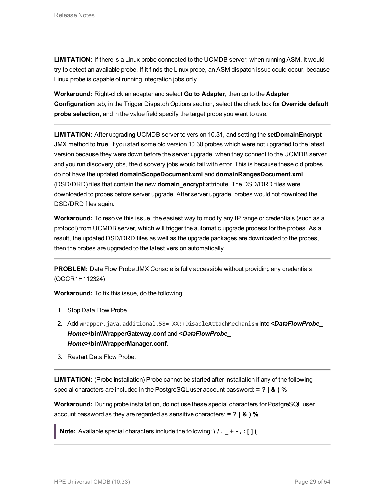**LIMITATION:** If there is a Linux probe connected to the UCMDB server, when running ASM, it would try to detect an available probe. If it finds the Linux probe, an ASM dispatch issue could occur, because Linux probe is capable of running integration jobs only.

**Workaround:** Right-click an adapter and select **Go to Adapter**, then go to the **Adapter Configuration** tab, in the Trigger Dispatch Options section, select the check box for **Override default probe selection**, and in the value field specify the target probe you want to use.

**LIMITATION:** After upgrading UCMDB server to version 10.31, and setting the **setDomainEncrypt** JMX method to **true**, if you start some old version 10.30 probes which were not upgraded to the latest version because they were down before the server upgrade, when they connect to the UCMDB server and you run discovery jobs, the discovery jobs would fail with error. This is because these old probes do not have the updated **domainScopeDocument.xml** and **domainRangesDocument.xml** (DSD/DRD) files that contain the new **domain\_encrypt** attribute. The DSD/DRD files were downloaded to probes before server upgrade. After server upgrade, probes would not download the DSD/DRD files again.

**Workaround:** To resolve this issue, the easiest way to modify any IP range or credentials (such as a protocol) from UCMDB server, which will trigger the automatic upgrade process for the probes. As a result, the updated DSD/DRD files as well as the upgrade packages are downloaded to the probes, then the probes are upgraded to the latest version automatically.

**PROBLEM:** Data Flow Probe JMX Console is fully accessible without providing any credentials. (QCCR1H112324)

**Workaround:** To fix this issue, do the following:

- 1. Stop Data Flow Probe.
- 2. Add wrapper.java.additional.58=-XX:+DisableAttachMechanism into *<DataFlowProbe\_ Home>***\bin\WrapperGateway.conf** and *<DataFlowProbe\_ Home>***\bin\WrapperManager.conf**.
- 3. Restart Data Flow Probe.

**LIMITATION:** (Probe installation) Probe cannot be started after installation if any of the following special characters are included in the PostgreSQL user account password: **= ? | & ) %**

**Workaround:** During probe installation, do not use these special characters for PostgreSQL user account password as they are regarded as sensitive characters: **= ? | & ) %**

**Note:** Available special characters include the following: **\ / . \_ + - , : [ ] (**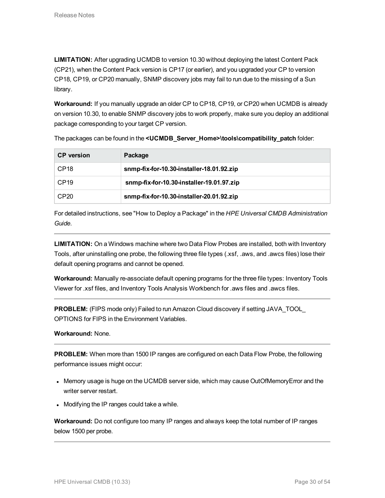**LIMITATION:** After upgrading UCMDB to version 10.30 without deploying the latest Content Pack (CP21), when the Content Pack version is CP17 (or earlier), and you upgraded your CP to version CP18, CP19, or CP20 manually, SNMP discovery jobs may fail to run due to the missing of a Sun library.

**Workaround:** If you manually upgrade an older CP to CP18, CP19, or CP20 when UCMDB is already on version 10.30, to enable SNMP discovery jobs to work properly, make sure you deploy an additional package corresponding to your target CP version.

| <b>CP</b> version | Package                                   |
|-------------------|-------------------------------------------|
| CP <sub>18</sub>  | snmp-fix-for-10.30-installer-18.01.92.zip |
| CP <sub>19</sub>  | snmp-fix-for-10.30-installer-19.01.97.zip |
| CP <sub>20</sub>  | snmp-fix-for-10.30-installer-20.01.92.zip |

The packages can be found in the **<UCMDB\_Server\_Home>\tools\compatibility\_patch** folder:

For detailed instructions, see "How to Deploy a Package" in the *HPE Universal CMDB Administration Guide*.

**LIMITATION:** On a Windows machine where two Data Flow Probes are installed, both with Inventory Tools, after uninstalling one probe, the following three file types (.xsf, .aws, and .awcs files) lose their default opening programs and cannot be opened.

**Workaround:** Manually re-associate default opening programs for the three file types: Inventory Tools Viewer for .xsf files, and Inventory Tools Analysis Workbench for .aws files and .awcs files.

**PROBLEM:** (FIPS mode only) Failed to run Amazon Cloud discovery if setting JAVA\_TOOL OPTIONS for FIPS in the Environment Variables.

**Workaround:** None.

**PROBLEM:** When more than 1500 IP ranges are configured on each Data Flow Probe, the following performance issues might occur:

- Memory usage is huge on the UCMDB server side, which may cause OutOfMemoryError and the writer server restart.
- Modifying the IP ranges could take a while.

**Workaround:** Do not configure too many IP ranges and always keep the total number of IP ranges below 1500 per probe.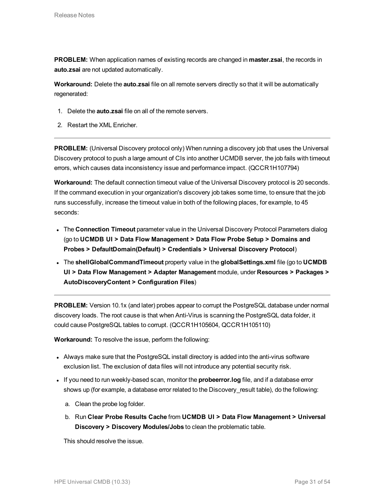**PROBLEM:** When application names of existing records are changed in **master.zsai**, the records in **auto.zsai** are not updated automatically.

**Workaround:** Delete the **auto.zsai** file on all remote servers directly so that it will be automatically regenerated:

- 1. Delete the **auto.zsai** file on all of the remote servers.
- 2. Restart the XML Enricher.

**PROBLEM:** (Universal Discovery protocol only) When running a discovery job that uses the Universal Discovery protocol to push a large amount of CIs into another UCMDB server, the job fails with timeout errors, which causes data inconsistency issue and performance impact. (QCCR1H107794)

**Workaround:** The default connection timeout value of the Universal Discovery protocol is 20 seconds. If the command execution in your organization's discovery job takes some time, to ensure that the job runs successfully, increase the timeout value in both of the following places, for example, to 45 seconds:

- <sup>l</sup> The **Connection Timeout** parameter value in the Universal Discovery Protocol Parameters dialog (go to **UCMDB UI > Data Flow Management > Data Flow Probe Setup > Domains and Probes > DefaultDomain(Default) > Credentials > Universal Discovery Protocol**)
- <sup>l</sup> The **shellGlobalCommandTimeout** property value in the **globalSettings.xml** file (go to **UCMDB UI > Data Flow Management > Adapter Management** module, under **Resources > Packages > AutoDiscoveryContent > Configuration Files**)

**PROBLEM:** Version 10.1x (and later) probes appear to corrupt the PostgreSQL database under normal discovery loads. The root cause is that when Anti-Virus is scanning the PostgreSQL data folder, it could cause PostgreSQL tables to corrupt. (QCCR1H105604, QCCR1H105110)

**Workaround:** To resolve the issue, perform the following:

- Always make sure that the PostgreSQL install directory is added into the anti-virus software exclusion list. The exclusion of data files will not introduce any potential security risk.
- <sup>l</sup> If you need to run weekly-based scan, monitor the **probeerror.log** file, and if a database error shows up (for example, a database error related to the Discovery\_result table), do the following:
	- a. Clean the probe log folder.
	- b. Run **Clear Probe Results Cache** from **UCMDB UI > Data Flow Management > Universal Discovery > Discovery Modules/Jobs** to clean the problematic table.

This should resolve the issue.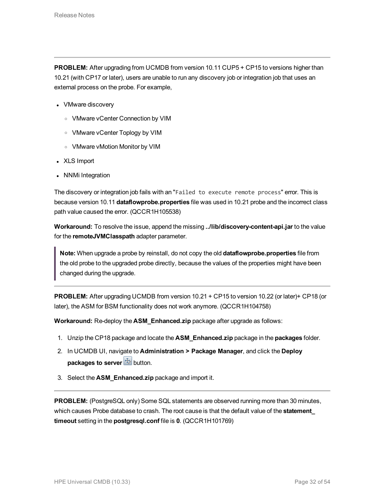**PROBLEM:** After upgrading from UCMDB from version 10.11 CUP5 + CP15 to versions higher than 10.21 (with CP17 or later), users are unable to run any discovery job or integration job that uses an external process on the probe. For example,

- VMware discovery
	- <sup>o</sup> VMware vCenter Connection by VIM
	- <sup>o</sup> VMware vCenter Toplogy by VIM
	- <sup>o</sup> VMware vMotion Monitor by VIM
- XLS Import
- NNMi Integration

The discovery or integration job fails with an "Failed to execute remote process" error. This is because version 10.11 **dataflowprobe.properties** file was used in 10.21 probe and the incorrect class path value caused the error. (QCCR1H105538)

**Workaround:** To resolve the issue, append the missing **../lib/discovery-content-api.jar** to the value for the **remoteJVMClasspath** adapter parameter.

**Note:** When upgrade a probe by reinstall, do not copy the old **dataflowprobe.properties** file from the old probe to the upgraded probe directly, because the values of the properties might have been changed during the upgrade.

**PROBLEM:** After upgrading UCMDB from version 10.21 + CP15 to version 10.22 (or later)+ CP18 (or later), the ASM for BSM functionality does not work anymore. (QCCR1H104758)

**Workaround:** Re-deploy the **ASM\_Enhanced.zip** package after upgrade as follows:

- 1. Unzip the CP18 package and locate the **ASM\_Enhanced.zip** package in the **packages** folder.
- 2. In UCMDB UI, navigate to **Administration > Package Manager**, and click the **Deploy packages to server**  $\frac{1}{2}$  button.
- 3. Select the **ASM\_Enhanced.zip** package and import it.

**PROBLEM:** (PostgreSQL only) Some SQL statements are observed running more than 30 minutes, which causes Probe database to crash. The root cause is that the default value of the **statement\_ timeout** setting in the **postgresql.conf** file is **0**. (QCCR1H101769)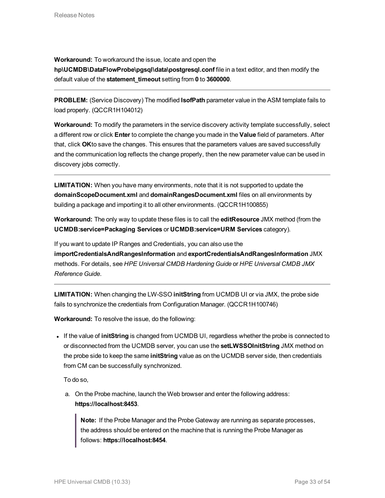**Workaround:** To workaround the issue, locate and open the **hp\UCMDB\DataFlowProbe\pgsql\data\postgresql.conf** file in a text editor, and then modify the default value of the **statement\_timeout** setting from **0** to **3600000**.

**PROBLEM:** (Service Discovery) The modified **IsofPath** parameter value in the ASM template fails to load properly. (QCCR1H104012)

**Workaround:** To modify the parameters in the service discovery activity template successfully, select a different row or click **Enter** to complete the change you made in the **Value** field of parameters. After that, click **OK**to save the changes. This ensures that the parameters values are saved successfully and the communication log reflects the change properly, then the new parameter value can be used in discovery jobs correctly.

**LIMITATION:** When you have many environments, note that it is not supported to update the **domainScopeDocument.xml** and **domainRangesDocument.xml** files on all environments by building a package and importing it to all other environments. (QCCR1H100855)

**Workaround:** The only way to update these files is to call the **editResource** JMX method (from the **UCMDB:service=Packaging Services** or **UCMDB:service=URM Services** category).

If you want to update IP Ranges and Credentials, you can also use the **importCredentialsAndRangesInformation** and **exportCredentialsAndRangesInformation** JMX methods. For details, see *HPE Universal CMDB Hardening Guide* or *HPE Universal CMDB JMX Reference Guide*.

**LIMITATION:** When changing the LW-SSO **initString** from UCMDB UI or via JMX, the probe side fails to synchronize the credentials from Configuration Manager. (QCCR1H100746)

**Workaround:** To resolve the issue, do the following:

<sup>l</sup> If the value of **initString** is changed from UCMDB UI, regardless whether the probe is connected to or disconnected from the UCMDB server, you can use the **setLWSSOInitString** JMX method on the probe side to keep the same **initString** value as on the UCMDB server side, then credentials from CM can be successfully synchronized.

To do so,

a. On the Probe machine, launch the Web browser and enter the following address: **https://localhost:8453**.

**Note:** If the Probe Manager and the Probe Gateway are running as separate processes, the address should be entered on the machine that is running the Probe Manager as follows: **https://localhost:8454**.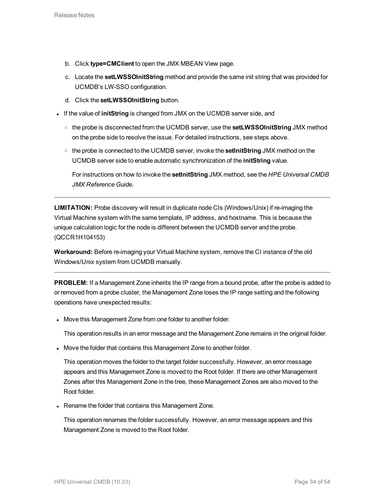- b. Click **type=CMClient** to open the JMX MBEAN View page.
- c. Locate the **setLWSSOInitString** method and provide the same init string that was provided for UCMDB's LW-SSO configuration.
- d. Click the **setLWSSOInitString** button.
- **.** If the value of *initString* is changed from JMX on the UCMDB server side, and
	- <sup>o</sup> the probe is disconnected from the UCMDB server, use the **setLWSSOInitString** JMX method on the probe side to resolve the issue. For detailed instructions, see steps above.
	- <sup>o</sup> the probe is connected to the UCMDB server, invoke the **setInitString** JMX method on the UCMDB server side to enable automatic synchronization of the **initString** value.

For instructions on how to invoke the **setInitString** JMX method, see the *HPE Universal CMDB JMX Reference Guide*.

**LIMITATION:** Probe discovery will result in duplicate node CIs (Windows/Unix) if re-imaging the Virtual Machine system with the same template, IP address, and hostname. This is because the unique calculation logic for the node is different between the UCMDB server and the probe. (QCCR1H104153)

**Workaround:** Before re-imaging your Virtual Machine system, remove the CI instance of the old Windows/Unix system from UCMDB manually.

**PROBLEM:** If a Management Zone inherits the IP range from a bound probe, after the probe is added to or removed from a probe cluster, the Management Zone loses the IP range setting and the following operations have unexpected results:

• Move this Management Zone from one folder to another folder.

This operation results in an error message and the Management Zone remains in the original folder.

• Move the folder that contains this Management Zone to another folder.

This operation moves the folder to the target folder successfully. However, an error message appears and this Management Zone is moved to the Root folder. If there are other Management Zones after this Management Zone in the tree, these Management Zones are also moved to the Root folder.

• Rename the folder that contains this Management Zone.

This operation renames the folder successfully. However, an error message appears and this Management Zone is moved to the Root folder.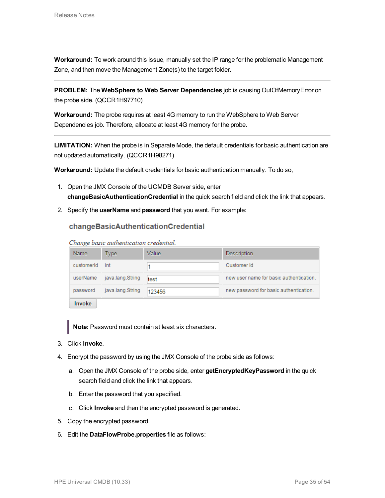**Workaround:** To work around this issue, manually set the IP range for the problematic Management Zone, and then move the Management Zone(s) to the target folder.

**PROBLEM:** The **WebSphere to Web Server Dependencies** job is causing OutOfMemoryError on the probe side. (QCCR1H97710)

**Workaround:** The probe requires at least 4G memory to run the WebSphere to Web Server Dependencies job. Therefore, allocate at least 4G memory for the probe.

**LIMITATION:** When the probe is in Separate Mode, the default credentials for basic authentication are not updated automatically. (QCCR1H98271)

**Workaround:** Update the default credentials for basic authentication manually. To do so,

- 1. Open the JMX Console of the UCMDB Server side, enter **changeBasicAuthenticationCredential** in the quick search field and click the link that appears.
- 2. Specify the **userName** and **password** that you want. For example:

# changeBasicAuthenticationCredential

Change basic authentication credential.

| Name       | Type:            | Value  | Description                             |
|------------|------------------|--------|-----------------------------------------|
| customerId | int              |        | Customer Id                             |
| userName   | java.lang.String | test   | new user name for basic authentication. |
| password   | java.lang.String | 123456 | new password for basic authentication.  |
| . .        |                  |        |                                         |

Invoke

**Note:** Password must contain at least six characters.

- 3. Click **Invoke**.
- 4. Encrypt the password by using the JMX Console of the probe side as follows:
	- a. Open the JMX Console of the probe side, enter **getEncryptedKeyPassword** in the quick search field and click the link that appears.
	- b. Enter the password that you specified.
	- c. Click **Invoke** and then the encrypted password is generated.
- 5. Copy the encrypted password.
- 6. Edit the **DataFlowProbe.properties** file as follows: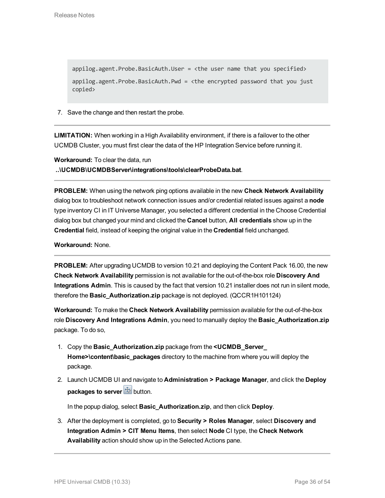appilog.agent.Probe.BasicAuth.User = <the user name that you specified> appilog.agent.Probe.BasicAuth.Pwd = <the encrypted password that you just copied>

7. Save the change and then restart the probe.

**LIMITATION:** When working in a High Availability environment, if there is a failover to the other UCMDB Cluster, you must first clear the data of the HP Integration Service before running it.

**Workaround:** To clear the data, run **..\UCMDB\UCMDBServer\integrations\tools\clearProbeData.bat**.

**PROBLEM:** When using the network ping options available in the new **Check Network Availability** dialog box to troubleshoot network connection issues and/or credential related issues against a **node** type inventory CI in IT Universe Manager, you selected a different credential in the Choose Credential dialog box but changed your mind and clicked the **Cancel** button, **All credentials** show up in the **Credential** field, instead of keeping the original value in the **Credential** field unchanged.

**Workaround:** None.

**PROBLEM:** After upgrading UCMDB to version 10.21 and deploying the Content Pack 16.00, the new **Check Network Availability** permission is not available for the out-of-the-box role **Discovery And Integrations Admin**. This is caused by the fact that version 10.21 installer does not run in silent mode, therefore the **Basic\_Authorization.zip** package is not deployed. (QCCR1H101124)

**Workaround:** To make the **Check Network Availability** permission available for the out-of-the-box role **Discovery And Integrations Admin**, you need to manually deploy the **Basic\_Authorization.zip** package. To do so,

- 1. Copy the **Basic\_Authorization.zip** package from the **<UCMDB\_Server\_ Home>\content\basic\_packages** directory to the machine from where you will deploy the package.
- 2. Launch UCMDB UI and navigate to **Administration > Package Manager**, and click the **Deploy packages to server**  $\frac{1}{2}$  button.

In the popup dialog, select **Basic\_Authorization.zip**, and then click **Deploy**.

3. After the deployment is completed, go to **Security > Roles Manager**, select **Discovery and Integration Admin > CIT Menu Items**, then select **Node** CI type, the **Check Network Availability** action should show up in the Selected Actions pane.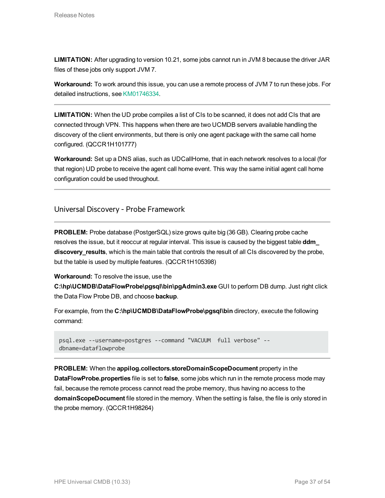**LIMITATION:** After upgrading to version 10.21, some jobs cannot run in JVM 8 because the driver JAR files of these jobs only support JVM 7.

**Workaround:** To work around this issue, you can use a remote process of JVM 7 to run these jobs. For detailed instructions, see [KM01746334.](https://softwaresupport.hp.com/group/softwaresupport/search-result/-/facetsearch/document/KM01746334)

**LIMITATION:** When the UD probe compiles a list of CIs to be scanned, it does not add CIs that are connected through VPN. This happens when there are two UCMDB servers available handling the discovery of the client environments, but there is only one agent package with the same call home configured. (QCCR1H101777)

**Workaround:** Set up a DNS alias, such as UDCallHome, that in each network resolves to a local (for that region) UD probe to receive the agent call home event. This way the same initial agent call home configuration could be used throughout.

<span id="page-36-0"></span>Universal Discovery - Probe Framework

**PROBLEM:** Probe database (PostgerSQL) size grows quite big (36 GB). Clearing probe cache resolves the issue, but it reoccur at regular interval. This issue is caused by the biggest table **ddm\_ discovery\_results**, which is the main table that controls the result of all CIs discovered by the probe, but the table is used by multiple features. (QCCR1H105398)

**Workaround:** To resolve the issue, use the

**C:\hp\UCMDB\DataFlowProbe\pgsql\bin\pgAdmin3.exe** GUI to perform DB dump. Just right click the Data Flow Probe DB, and choose **backup**.

For example, from the C:\hp\UCMDB\DataFlowProbe\pgsql\bin directory, execute the following command:

```
psql.exe --username=postgres --command "VACUUM full verbose" --
dbname=dataflowprobe
```
**PROBLEM:** When the **appilog.collectors.storeDomainScopeDocument** property in the **DataFlowProbe.properties** file is set to **false**, some jobs which run in the remote process mode may fail, because the remote process cannot read the probe memory, thus having no access to the **domainScopeDocument** file stored in the memory. When the setting is false, the file is only stored in the probe memory. (QCCR1H98264)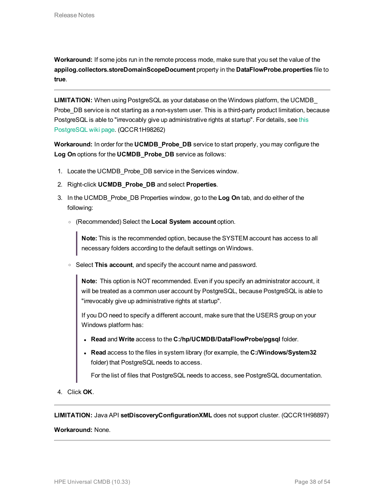**Workaround:** If some jobs run in the remote process mode, make sure that you set the value of the **appilog.collectors.storeDomainScopeDocument** property in the **DataFlowProbe.properties** file to **true**.

**LIMITATION:** When using PostgreSQL as your database on the Windows platform, the UCMDB\_ Probe\_DB service is not starting as a non-system user. This is a third-party product limitation, because PostgreSQL is able to "irrevocably give up administrative rights at startup". For details, see [this](https://wiki.postgresql.org/wiki/Running_&_Installing_PostgreSQL_On_Native_Windows#Why_do_I_need_a_non-administrator_account_to_run_PostgreSQL_under.3F) [PostgreSQL](https://wiki.postgresql.org/wiki/Running_&_Installing_PostgreSQL_On_Native_Windows#Why_do_I_need_a_non-administrator_account_to_run_PostgreSQL_under.3F) wiki page. (QCCR1H98262)

**Workaround:** In order for the **UCMDB\_Probe\_DB** service to start properly, you may configure the **Log On** options for the **UCMDB\_Probe\_DB** service as follows:

- 1. Locate the UCMDB\_Probe\_DB service in the Services window.
- 2. Right-click **UCMDB\_Probe\_DB** and select **Properties**.
- 3. In the UCMDB\_Probe\_DB Properties window, go to the **Log On** tab, and do either of the following:
	- <sup>o</sup> (Recommended) Select the **Local System account** option.

**Note:** This is the recommended option, because the SYSTEM account has access to all necessary folders according to the default settings on Windows.

<sup>o</sup> Select **This account**, and specify the account name and password.

**Note:** This option is NOT recommended. Even if you specify an administrator account, it will be treated as a common user account by PostgreSQL, because PostgreSQL is able to "irrevocably give up administrative rights at startup".

If you DO need to specify a different account, make sure that the USERS group on your Windows platform has:

- <sup>l</sup> **Read** and **Write** access to the **C:/hp/UCMDB/DataFlowProbe/pgsql** folder.
- <sup>l</sup> **Read** access to the files in system library (for example, the **C:/Windows/System32** folder) that PostgreSQL needs to access.

For the list of files that PostgreSQL needs to access, see PostgreSQL documentation.

4. Click **OK**.

**LIMITATION:** Java API **setDiscoveryConfigurationXML** does not support cluster. (QCCR1H98897)

### **Workaround:** None.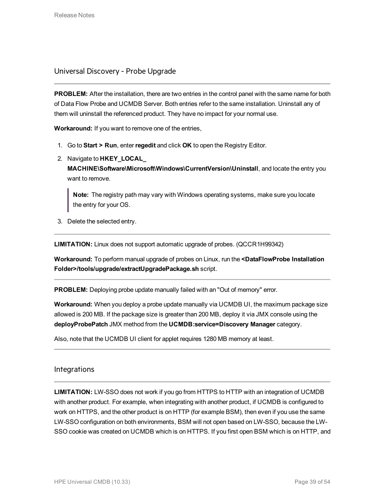<span id="page-38-0"></span>Universal Discovery - Probe Upgrade

**PROBLEM:** After the installation, there are two entries in the control panel with the same name for both of Data Flow Probe and UCMDB Server. Both entries refer to the same installation. Uninstall any of them will uninstall the referenced product. They have no impact for your normal use.

**Workaround:** If you want to remove one of the entries,

- 1. Go to **Start > Run**, enter**regedit** and click **OK** to open the Registry Editor.
- 2. Navigate to **HKEY\_LOCAL\_**

**MACHINE\Software\Microsoft\Windows\CurrentVersion\Uninstall**, and locate the entry you want to remove.

**Note:** The registry path may vary with Windows operating systems, make sure you locate the entry for your OS.

3. Delete the selected entry.

**LIMITATION:** Linux does not support automatic upgrade of probes. (QCCR1H99342)

**Workaround:** To perform manual upgrade of probes on Linux, run the **<DataFlowProbe Installation Folder>/tools/upgrade/extractUpgradePackage.sh** script.

**PROBLEM:** Deploying probe update manually failed with an "Out of memory" error.

**Workaround:** When you deploy a probe update manually via UCMDB UI, the maximum package size allowed is 200 MB. If the package size is greater than 200 MB, deploy it via JMX console using the **deployProbePatch** JMX method from the **UCMDB:service=Discovery Manager** category.

<span id="page-38-1"></span>Also, note that the UCMDB UI client for applet requires 1280 MB memory at least.

# Integrations

**LIMITATION:** LW-SSO does not work if you go from HTTPS to HTTP with an integration of UCMDB with another product. For example, when integrating with another product, if UCMDB is configured to work on HTTPS, and the other product is on HTTP (for example BSM), then even if you use the same LW-SSO configuration on both environments, BSM will not open based on LW-SSO, because the LW-SSO cookie was created on UCMDB which is on HTTPS. If you first open BSM which is on HTTP, and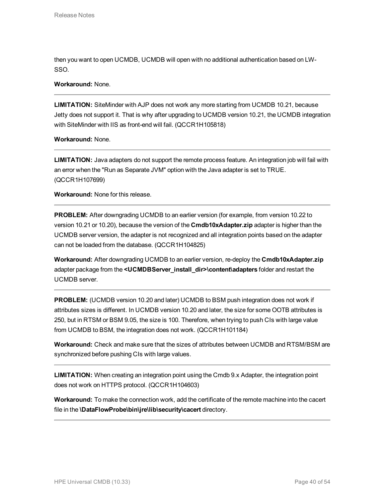then you want to open UCMDB, UCMDB will open with no additional authentication based on LW-SSO.

## **Workaround:** None.

**LIMITATION:** SiteMinder with AJP does not work any more starting from UCMDB 10.21, because Jetty does not support it. That is why after upgrading to UCMDB version 10.21, the UCMDB integration with SiteMinder with IIS as front-end will fail. (QCCR1H105818)

**Workaround:** None.

**LIMITATION:** Java adapters do not support the remote process feature. An integration job will fail with an error when the "Run as Separate JVM" option with the Java adapter is set to TRUE. (QCCR1H107699)

**Workaround:** None for this release.

**PROBLEM:** After downgrading UCMDB to an earlier version (for example, from version 10.22 to version 10.21 or 10.20), because the version of the **Cmdb10xAdapter.zip** adapter is higher than the UCMDB server version, the adapter is not recognized and all integration points based on the adapter can not be loaded from the database. (QCCR1H104825)

**Workaround:** After downgrading UCMDB to an earlier version, re-deploy the **Cmdb10xAdapter.zip** adapter package from the **<UCMDBServer\_install\_dir>\content\adapters** folder and restart the UCMDB server.

**PROBLEM:** (UCMDB version 10.20 and later) UCMDB to BSM push integration does not work if attributes sizes is different. In UCMDB version 10.20 and later, the size for some OOTB attributes is 250, but in RTSM or BSM 9.05, the size is 100. Therefore, when trying to push CIs with large value from UCMDB to BSM, the integration does not work. (QCCR1H101184)

**Workaround:** Check and make sure that the sizes of attributes between UCMDB and RTSM/BSM are synchronized before pushing CIs with large values.

**LIMITATION:** When creating an integration point using the Cmdb 9.x Adapter, the integration point does not work on HTTPS protocol. (QCCR1H104603)

**Workaround:** To make the connection work, add the certificate of the remote machine into the cacert file in the **\DataFlowProbe\bin\jre\lib\security\cacert** directory.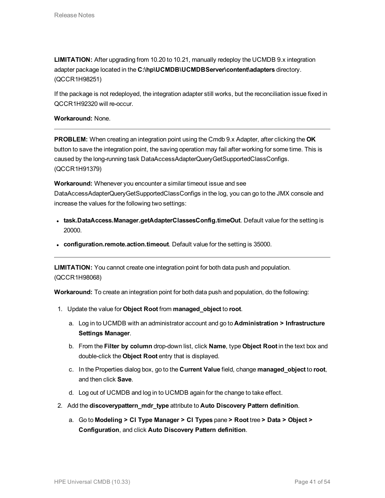**LIMITATION:** After upgrading from 10.20 to 10.21, manually redeploy the UCMDB 9.x integration adapter package located in the **C:\hp\UCMDB\UCMDBServer\content\adapters** directory. (QCCR1H98251)

If the package is not redeployed, the integration adapter still works, but the reconciliation issue fixed in QCCR1H92320 will re-occur.

**Workaround:** None.

**PROBLEM:** When creating an integration point using the Cmdb 9.x Adapter, after clicking the **OK** button to save the integration point, the saving operation may fail after working for some time. This is caused by the long-running task DataAccessAdapterQueryGetSupportedClassConfigs. (QCCR1H91379)

**Workaround:** Whenever you encounter a similar timeout issue and see DataAccessAdapterQueryGetSupportedClassConfigs in the log, you can go to the JMX console and increase the values for the following two settings:

- **task.DataAccess.Manager.getAdapterClassesConfig.timeOut**. Default value for the setting is 20000.
- **configuration.remote.action.timeout**. Default value for the setting is 35000.

**LIMITATION:** You cannot create one integration point for both data push and population. (QCCR1H98068)

**Workaround:** To create an integration point for both data push and population, do the following:

- 1. Update the value for **Object Root** from **managed\_object** to **root**.
	- a. Log in to UCMDB with an administrator account and go to **Administration > Infrastructure Settings Manager**.
	- b. From the **Filter by column** drop-down list, click **Name**, type **Object Root** in the text box and double-click the **Object Root** entry that is displayed.
	- c. In the Properties dialog box, go to the **Current Value** field, change **managed\_object** to **root**, and then click **Save**.
	- d. Log out of UCMDB and log in to UCMDB again for the change to take effect.
- 2. Add the **discoverypattern\_mdr\_type** attribute to **Auto Discovery Pattern definition**.
	- a. Go to **Modeling > CI Type Manager > CI Types** pane **> Root** tree **> Data > Object > Configuration**, and click **Auto Discovery Pattern definition**.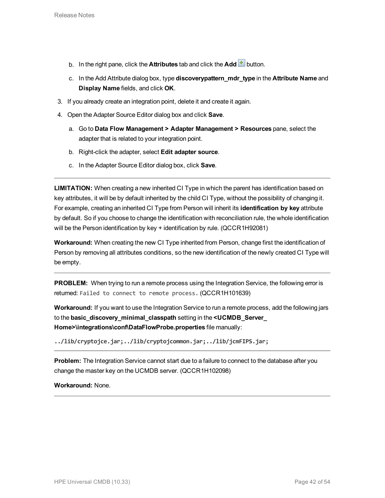- b. In the right pane, click the **Attributes** tab and click the **Add d** button.
- c. In the Add Attribute dialog box, type **discoverypattern\_mdr\_type** in the **Attribute Name** and **Display Name** fields, and click **OK**.
- 3. If you already create an integration point, delete it and create it again.
- 4. Open the Adapter Source Editor dialog box and click **Save**.
	- a. Go to **Data Flow Management > Adapter Management > Resources** pane, select the adapter that is related to your integration point.
	- b. Right-click the adapter, select **Edit adapter source**.
	- c. In the Adapter Source Editor dialog box, click **Save**.

**LIMITATION:** When creating a new inherited CI Type in which the parent has identification based on key attributes, it will be by default inherited by the child CI Type, without the possibility of changing it. For example, creating an inherited CI Type from Person will inherit its **identification by key** attribute by default. So if you choose to change the identification with reconciliation rule, the whole identification will be the Person identification by key + identification by rule. (QCCR1H92081)

**Workaround:** When creating the new CI Type inherited from Person, change first the identification of Person by removing all attributes conditions, so the new identification of the newly created CI Type will be empty.

**PROBLEM:** When trying to run a remote process using the Integration Service, the following error is returned: Failed to connect to remote process. (QCCR1H101639)

**Workaround:** If you want to use the Integration Service to run a remote process, add the following jars to the **basic\_discovery\_minimal\_classpath** setting in the **<UCMDB\_Server\_ Home>\integrations\conf\DataFlowProbe.properties** file manually:

```
../lib/cryptojce.jar;../lib/cryptojcommon.jar;../lib/jcmFIPS.jar;
```
**Problem:** The Integration Service cannot start due to a failure to connect to the database after you change the master key on the UCMDB server. (QCCR1H102098)

**Workaround:** None.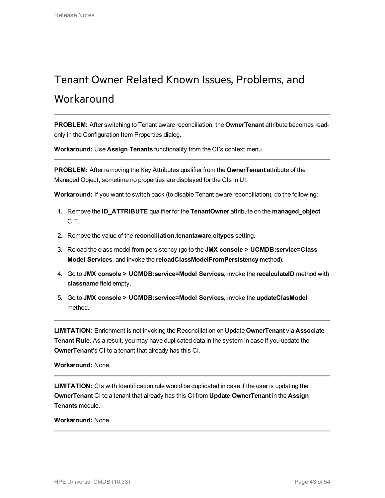# <span id="page-42-0"></span>Tenant Owner Related Known Issues, Problems, and Workaround

**PROBLEM:** After switching to Tenant aware reconciliation, the **OwnerTenant** attribute becomes readonly in the Configuration Item Properties dialog.

**Workaround:** Use **Assign Tenants** functionality from the CI's context menu.

**PROBLEM:** After removing the Key Attributes qualifier from the **OwnerTenant** attribute of the Managed Object, sometime no properties are displayed for the CIs in UI.

**Workaround:** If you want to switch back (to disable Tenant aware reconciliation), do the following:

- 1. Remove the **ID\_ATTRIBUTE** qualifier for the **TenantOwner** attribute on the **managed\_object** CIT.
- 2. Remove the value of the **reconciliation.tenantaware.citypes** setting.
- 3. Reload the class model from persistency (go to the **JMX console > UCMDB:service=Class Model Services**, and invoke the **reloadClassModelFromPersistency** method).
- 4. Go to **JMX console > UCMDB:service=Model Services**, invoke the **recalculateID** method with **classname** field empty.
- 5. Go to **JMX console > UCMDB:service=Model Services**, invoke the **updateClasModel** method.

**LIMITATION:** Enrichment is not invoking the Reconciliation on Update **OwnerTenant** via **Associate Tenant Rule**. As a result, you may have duplicated data in the system in case if you update the **OwnerTenant**'s CI to a tenant that already has this CI.

**Workaround:** None.

**LIMITATION:** CIs with Identification rule would be duplicated in case if the user is updating the **OwnerTenant** CI to a tenant that already has this CI from **Update OwnerTenant** in the **Assign Tenants** module.

### **Workaround:** None.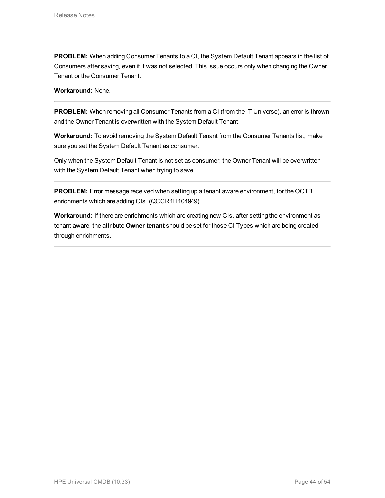**PROBLEM:** When adding Consumer Tenants to a CI, the System Default Tenant appears in the list of Consumers after saving, even if it was not selected. This issue occurs only when changing the Owner Tenant or the Consumer Tenant.

## **Workaround:** None.

**PROBLEM:** When removing all Consumer Tenants from a CI (from the IT Universe), an error is thrown and the Owner Tenant is overwritten with the System Default Tenant.

**Workaround:** To avoid removing the System Default Tenant from the Consumer Tenants list, make sure you set the System Default Tenant as consumer.

Only when the System Default Tenant is not set as consumer, the Owner Tenant will be overwritten with the System Default Tenant when trying to save.

**PROBLEM:** Error message received when setting up a tenant aware environment, for the OOTB enrichments which are adding CIs. (QCCR1H104949)

**Workaround:** If there are enrichments which are creating new CIs, after setting the environment as tenant aware, the attribute **Owner tenant** should be set for those CI Types which are being created through enrichments.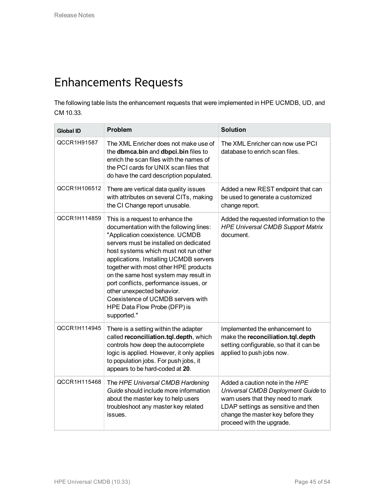# <span id="page-44-0"></span>Enhancements Requests

The following table lists the enhancement requests that were implemented in HPE UCMDB, UD, and CM 10.33.

| <b>Global ID</b> | Problem                                                                                                                                                                                                                                                                                                                                                                                                                                                                                   | <b>Solution</b>                                                                                                                                                                                                     |
|------------------|-------------------------------------------------------------------------------------------------------------------------------------------------------------------------------------------------------------------------------------------------------------------------------------------------------------------------------------------------------------------------------------------------------------------------------------------------------------------------------------------|---------------------------------------------------------------------------------------------------------------------------------------------------------------------------------------------------------------------|
| QCCR1H91587      | The XML Enricher does not make use of<br>the dbmca.bin and dbpci.bin files to<br>enrich the scan files with the names of<br>the PCI cards for UNIX scan files that<br>do have the card description populated.                                                                                                                                                                                                                                                                             | The XML Enricher can now use PCI<br>database to enrich scan files.                                                                                                                                                  |
| QCCR1H106512     | There are vertical data quality issues<br>with attributes on several CITs, making<br>the CI Change report unusable.                                                                                                                                                                                                                                                                                                                                                                       | Added a new REST endpoint that can<br>be used to generate a customized<br>change report.                                                                                                                            |
| QCCR1H114859     | This is a request to enhance the<br>documentation with the following lines:<br>"Application coexistence. UCMDB<br>servers must be installed on dedicated<br>host systems which must not run other<br>applications. Installing UCMDB servers<br>together with most other HPE products<br>on the same host system may result in<br>port conflicts, performance issues, or<br>other unexpected behavior.<br>Coexistence of UCMDB servers with<br>HPE Data Flow Probe (DFP) is<br>supported." | Added the requested information to the<br><b>HPE Universal CMDB Support Matrix</b><br>document.                                                                                                                     |
| QCCR1H114945     | There is a setting within the adapter<br>called reconciliation.tql.depth, which<br>controls how deep the autocomplete<br>logic is applied. However, it only applies<br>to population jobs. For push jobs, it<br>appears to be hard-coded at 20.                                                                                                                                                                                                                                           | Implemented the enhancement to<br>make the reconciliation.tql.depth<br>setting configurable, so that it can be<br>applied to push jobs now.                                                                         |
| QCCR1H115468     | The HPE Universal CMDB Hardening<br>Guide should include more information<br>about the master key to help users<br>troubleshoot any master key related<br>issues.                                                                                                                                                                                                                                                                                                                         | Added a caution note in the HPE<br>Universal CMDB Deployment Guide to<br>warn users that they need to mark<br>LDAP settings as sensitive and then<br>change the master key before they<br>proceed with the upgrade. |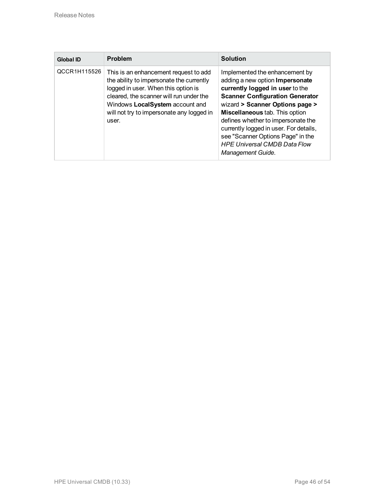| <b>Global ID</b> | Problem                                                                                                                                                                                                                                                      | <b>Solution</b>                                                                                                                                                                                                                                                                                                                                                                                      |
|------------------|--------------------------------------------------------------------------------------------------------------------------------------------------------------------------------------------------------------------------------------------------------------|------------------------------------------------------------------------------------------------------------------------------------------------------------------------------------------------------------------------------------------------------------------------------------------------------------------------------------------------------------------------------------------------------|
| QCCR1H115526     | This is an enhancement request to add<br>the ability to impersonate the currently<br>logged in user. When this option is<br>cleared, the scanner will run under the<br>Windows LocalSystem account and<br>will not try to impersonate any logged in<br>user. | Implemented the enhancement by<br>adding a new option Impersonate<br>currently logged in user to the<br><b>Scanner Configuration Generator</b><br>wizard > Scanner Options page ><br>Miscellaneous tab. This option<br>defines whether to impersonate the<br>currently logged in user. For details,<br>see "Scanner Options Page" in the<br><b>HPE Universal CMDB Data Flow</b><br>Management Guide. |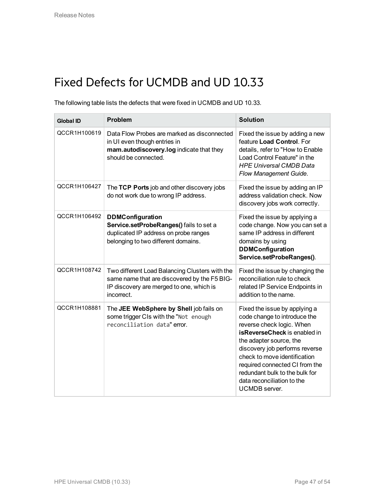# <span id="page-46-0"></span>Fixed Defects for UCMDB and UD 10.33

The following table lists the defects that were fixed in UCMDB and UD 10.33.

| <b>Global ID</b> | <b>Problem</b>                                                                                                                                           | <b>Solution</b>                                                                                                                                                                                                                                                                                                                            |
|------------------|----------------------------------------------------------------------------------------------------------------------------------------------------------|--------------------------------------------------------------------------------------------------------------------------------------------------------------------------------------------------------------------------------------------------------------------------------------------------------------------------------------------|
| QCCR1H100619     | Data Flow Probes are marked as disconnected<br>in UI even though entries in<br>mam.autodiscovery.log indicate that they<br>should be connected.          | Fixed the issue by adding a new<br>feature Load Control. For<br>details, refer to "How to Enable<br>Load Control Feature" in the<br><b>HPE Universal CMDB Data</b><br>Flow Management Guide.                                                                                                                                               |
| QCCR1H106427     | The TCP Ports job and other discovery jobs<br>do not work due to wrong IP address.                                                                       | Fixed the issue by adding an IP<br>address validation check. Now<br>discovery jobs work correctly.                                                                                                                                                                                                                                         |
| QCCR1H106492     | <b>DDMConfiguration</b><br>Service.setProbeRanges() fails to set a<br>duplicated IP address on probe ranges<br>belonging to two different domains.       | Fixed the issue by applying a<br>code change. Now you can set a<br>same IP address in different<br>domains by using<br><b>DDMConfiguration</b><br>Service.setProbeRanges().                                                                                                                                                                |
| QCCR1H108742     | Two different Load Balancing Clusters with the<br>same name that are discovered by the F5 BIG-<br>IP discovery are merged to one, which is<br>incorrect. | Fixed the issue by changing the<br>reconciliation rule to check<br>related IP Service Endpoints in<br>addition to the name.                                                                                                                                                                                                                |
| QCCR1H108881     | The JEE WebSphere by Shell job fails on<br>some trigger CIs with the "Not enough<br>reconciliation data" error.                                          | Fixed the issue by applying a<br>code change to introduce the<br>reverse check logic. When<br>isReverseCheck is enabled in<br>the adapter source, the<br>discovery job performs reverse<br>check to move identification<br>required connected CI from the<br>redundant bulk to the bulk for<br>data reconciliation to the<br>UCMDB server. |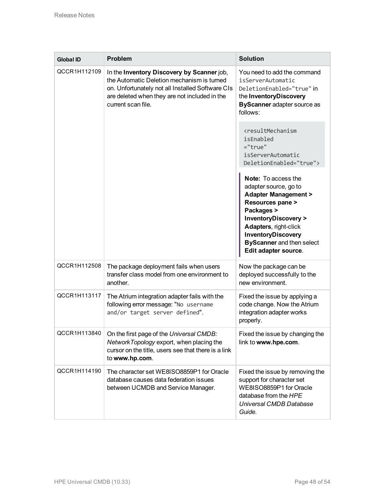| <b>Global ID</b> | <b>Problem</b>                                                                                                                                                                                                      | <b>Solution</b>                                                                                                                                                                                                                                               |
|------------------|---------------------------------------------------------------------------------------------------------------------------------------------------------------------------------------------------------------------|---------------------------------------------------------------------------------------------------------------------------------------------------------------------------------------------------------------------------------------------------------------|
| QCCR1H112109     | In the Inventory Discovery by Scanner job,<br>the Automatic Deletion mechanism is turned<br>on. Unfortunately not all Installed Software CIs<br>are deleted when they are not included in the<br>current scan file. | You need to add the command<br>isServerAutomatic<br>DeletionEnabled="true" in<br>the InventoryDiscovery<br>ByScanner adapter source as<br>follows:                                                                                                            |
|                  |                                                                                                                                                                                                                     | <resultmechanism<br>isEnabled<br/><math>="true"</math><br/>isServerAutomatic<br/>DeletionEnabled="true"&gt;</resultmechanism<br>                                                                                                                              |
|                  |                                                                                                                                                                                                                     | Note: To access the<br>adapter source, go to<br><b>Adapter Management &gt;</b><br>Resources pane ><br>Packages ><br><b>InventoryDiscovery &gt;</b><br>Adapters, right-click<br>InventoryDiscovery<br><b>ByScanner</b> and then select<br>Edit adapter source. |
| QCCR1H112508     | The package deployment fails when users<br>transfer class model from one environment to<br>another.                                                                                                                 | Now the package can be<br>deployed successfully to the<br>new environment.                                                                                                                                                                                    |
| QCCR1H113117     | The Atrium integration adapter fails with the<br>following error message: "No username<br>and/or target server defined".                                                                                            | Fixed the issue by applying a<br>code change. Now the Atrium<br>integration adapter works<br>properly.                                                                                                                                                        |
| QCCR1H113840     | On the first page of the Universal CMDB:<br>Network Topology export, when placing the<br>cursor on the title, users see that there is a link<br>to www.hp.com.                                                      | Fixed the issue by changing the<br>link to www.hpe.com.                                                                                                                                                                                                       |
| QCCR1H114190     | The character set WE8ISO8859P1 for Oracle<br>database causes data federation issues<br>between UCMDB and Service Manager.                                                                                           | Fixed the issue by removing the<br>support for character set<br>WE8ISO8859P1 for Oracle<br>database from the HPE<br>Universal CMDB Database<br>Guide.                                                                                                         |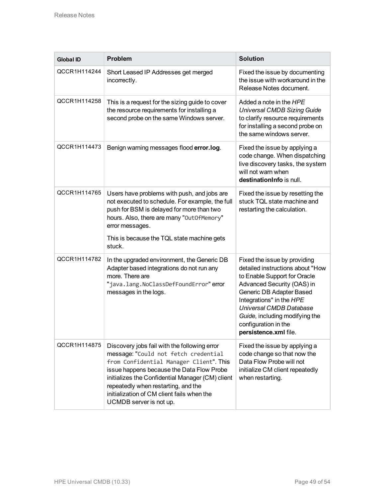| <b>Global ID</b> | Problem                                                                                                                                                                                                                                                                                                                                          | <b>Solution</b>                                                                                                                                                                                                                                                                                             |
|------------------|--------------------------------------------------------------------------------------------------------------------------------------------------------------------------------------------------------------------------------------------------------------------------------------------------------------------------------------------------|-------------------------------------------------------------------------------------------------------------------------------------------------------------------------------------------------------------------------------------------------------------------------------------------------------------|
| QCCR1H114244     | Short Leased IP Addresses get merged<br>incorrectly.                                                                                                                                                                                                                                                                                             | Fixed the issue by documenting<br>the issue with workaround in the<br>Release Notes document.                                                                                                                                                                                                               |
| QCCR1H114258     | This is a request for the sizing guide to cover<br>the resource requirements for installing a<br>second probe on the same Windows server.                                                                                                                                                                                                        | Added a note in the HPE<br><b>Universal CMDB Sizing Guide</b><br>to clarify resource requirements<br>for installing a second probe on<br>the same windows server.                                                                                                                                           |
| QCCR1H114473     | Benign warning messages flood error.log.                                                                                                                                                                                                                                                                                                         | Fixed the issue by applying a<br>code change. When dispatching<br>live discovery tasks, the system<br>will not warn when<br>destination Info is null.                                                                                                                                                       |
| QCCR1H114765     | Users have problems with push, and jobs are<br>not executed to schedule. For example, the full<br>push for BSM is delayed for more than two<br>hours. Also, there are many "OutOfMemory"<br>error messages.<br>This is because the TQL state machine gets<br>stuck.                                                                              | Fixed the issue by resetting the<br>stuck TQL state machine and<br>restarting the calculation.                                                                                                                                                                                                              |
| QCCR1H114782     | In the upgraded environment, the Generic DB<br>Adapter based integrations do not run any<br>more. There are<br>"java.lang.NoClassDefFoundError" error<br>messages in the logs.                                                                                                                                                                   | Fixed the issue by providing<br>detailed instructions about "How<br>to Enable Support for Oracle<br>Advanced Security (OAS) in<br>Generic DB Adapter Based<br>Integrations" in the HPE<br><b>Universal CMDB Database</b><br>Guide, including modifying the<br>configuration in the<br>persistence.xml file. |
| QCCR1H114875     | Discovery jobs fail with the following error<br>message: "Could not fetch credential<br>from Confidential Manager Client". This<br>issue happens because the Data Flow Probe<br>initializes the Confidential Manager (CM) client<br>repeatedly when restarting, and the<br>initialization of CM client fails when the<br>UCMDB server is not up. | Fixed the issue by applying a<br>code change so that now the<br>Data Flow Probe will not<br>initialize CM client repeatedly<br>when restarting.                                                                                                                                                             |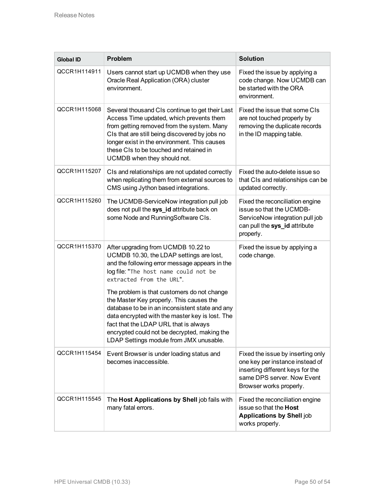| <b>Global ID</b> | Problem                                                                                                                                                                                                                                                                                                                           | <b>Solution</b>                                                                                                                                                   |
|------------------|-----------------------------------------------------------------------------------------------------------------------------------------------------------------------------------------------------------------------------------------------------------------------------------------------------------------------------------|-------------------------------------------------------------------------------------------------------------------------------------------------------------------|
| QCCR1H114911     | Users cannot start up UCMDB when they use<br>Oracle Real Application (ORA) cluster<br>environment.                                                                                                                                                                                                                                | Fixed the issue by applying a<br>code change. Now UCMDB can<br>be started with the ORA<br>environment.                                                            |
| QCCR1H115068     | Several thousand CIs continue to get their Last<br>Access Time updated, which prevents them<br>from getting removed from the system. Many<br>CIs that are still being discovered by jobs no<br>longer exist in the environment. This causes<br>these CIs to be touched and retained in<br>UCMDB when they should not.             | Fixed the issue that some CIs<br>are not touched properly by<br>removing the duplicate records<br>in the ID mapping table.                                        |
| QCCR1H115207     | CIs and relationships are not updated correctly<br>when replicating them from external sources to<br>CMS using Jython based integrations.                                                                                                                                                                                         | Fixed the auto-delete issue so<br>that CIs and relationships can be<br>updated correctly.                                                                         |
| QCCR1H115260     | The UCMDB-ServiceNow integration pull job<br>does not pull the sys_id attribute back on<br>some Node and RunningSoftware CIs.                                                                                                                                                                                                     | Fixed the reconciliation engine<br>issue so that the UCMDB-<br>ServiceNow integration pull job<br>can pull the sys_id attribute<br>properly.                      |
| QCCR1H115370     | After upgrading from UCMDB 10.22 to<br>UCMDB 10.30, the LDAP settings are lost,<br>and the following error message appears in the<br>log file: "The host name could not be<br>extracted from the URL".                                                                                                                            | Fixed the issue by applying a<br>code change.                                                                                                                     |
|                  | The problem is that customers do not change<br>the Master Key properly. This causes the<br>database to be in an inconsistent state and any<br>data encrypted with the master key is lost. The<br>fact that the LDAP URL that is always<br>encrypted could not be decrypted, making the<br>LDAP Settings module from JMX unusable. |                                                                                                                                                                   |
| QCCR1H115454     | Event Browser is under loading status and<br>becomes inaccessible.                                                                                                                                                                                                                                                                | Fixed the issue by inserting only<br>one key per instance instead of<br>inserting different keys for the<br>same DPS server. Now Event<br>Browser works properly. |
| QCCR1H115545     | The Host Applications by Shell job fails with<br>many fatal errors.                                                                                                                                                                                                                                                               | Fixed the reconciliation engine<br>issue so that the Host<br><b>Applications by Shell job</b><br>works properly.                                                  |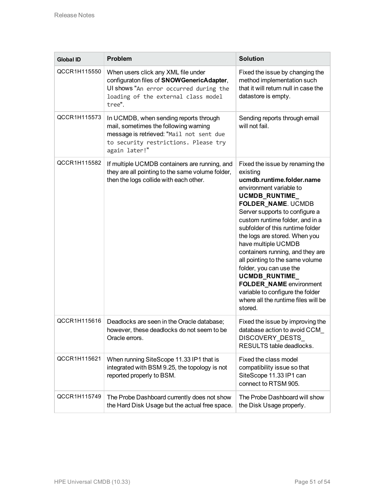| <b>Global ID</b> | Problem                                                                                                                                                                              | <b>Solution</b>                                                                                                                                                                                                                                                                                                                                                                                                                                                                                                                                                |
|------------------|--------------------------------------------------------------------------------------------------------------------------------------------------------------------------------------|----------------------------------------------------------------------------------------------------------------------------------------------------------------------------------------------------------------------------------------------------------------------------------------------------------------------------------------------------------------------------------------------------------------------------------------------------------------------------------------------------------------------------------------------------------------|
| QCCR1H115550     | When users click any XML file under<br>configuraton files of SNOWGenericAdapter,<br>Ul shows "An error occurred during the<br>loading of the external class model<br>tree".          | Fixed the issue by changing the<br>method implementation such<br>that it will return null in case the<br>datastore is empty.                                                                                                                                                                                                                                                                                                                                                                                                                                   |
| QCCR1H115573     | In UCMDB, when sending reports through<br>mail, sometimes the following warning<br>message is retrieved: "Mail not sent due<br>to security restrictions. Please try<br>again later!" | Sending reports through email<br>will not fail.                                                                                                                                                                                                                                                                                                                                                                                                                                                                                                                |
| QCCR1H115582     | If multiple UCMDB containers are running, and<br>they are all pointing to the same volume folder,<br>then the logs collide with each other.                                          | Fixed the issue by renaming the<br>existing<br>ucmdb.runtime.folder.name<br>environment variable to<br>UCMDB_RUNTIME<br><b>FOLDER_NAME. UCMDB</b><br>Server supports to configure a<br>custom runtime folder, and in a<br>subfolder of this runtime folder<br>the logs are stored. When you<br>have multiple UCMDB<br>containers running, and they are<br>all pointing to the same volume<br>folder, you can use the<br>UCMDB_RUNTIME_<br><b>FOLDER_NAME</b> environment<br>variable to configure the folder<br>where all the runtime files will be<br>stored. |
| QCCR1H115616     | Deadlocks are seen in the Oracle database;<br>however, these deadlocks do not seem to be<br>Oracle errors.                                                                           | Fixed the issue by improving the<br>database action to avoid CCM<br>DISCOVERY_DESTS_<br>RESULTS table deadlocks.                                                                                                                                                                                                                                                                                                                                                                                                                                               |
| QCCR1H115621     | When running SiteScope 11.33 IP1 that is<br>integrated with BSM 9.25, the topology is not<br>reported properly to BSM.                                                               | Fixed the class model<br>compatibility issue so that<br>SiteScope 11.33 IP1 can<br>connect to RTSM 905.                                                                                                                                                                                                                                                                                                                                                                                                                                                        |
| QCCR1H115749     | The Probe Dashboard currently does not show<br>the Hard Disk Usage but the actual free space.                                                                                        | The Probe Dashboard will show<br>the Disk Usage properly.                                                                                                                                                                                                                                                                                                                                                                                                                                                                                                      |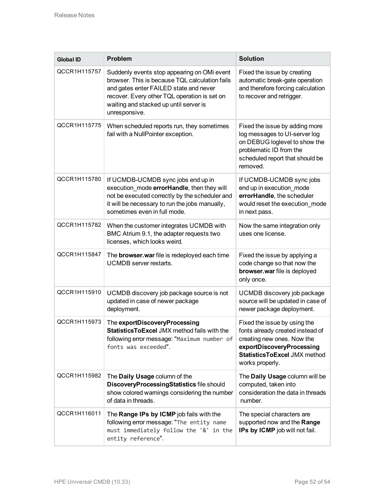| <b>Global ID</b> | Problem                                                                                                                                                                                                                                            | <b>Solution</b>                                                                                                                                                                |
|------------------|----------------------------------------------------------------------------------------------------------------------------------------------------------------------------------------------------------------------------------------------------|--------------------------------------------------------------------------------------------------------------------------------------------------------------------------------|
| QCCR1H115757     | Suddenly events stop appearing on OMi event<br>browser. This is because TQL calculation fails<br>and gates enter FAILED state and never<br>recover. Every other TQL operation is set on<br>waiting and stacked up until server is<br>unresponsive. | Fixed the issue by creating<br>automatic break-gate operation<br>and therefore forcing calculation<br>to recover and retrigger.                                                |
| QCCR1H115775     | When scheduled reports run, they sometimes<br>fail with a NullPointer exception.                                                                                                                                                                   | Fixed the issue by adding more<br>log messages to UI-server log<br>on DEBUG loglevel to show the<br>problematic ID from the<br>scheduled report that should be<br>removed.     |
| QCCR1H115780     | If UCMDB-UCMDB sync jobs end up in<br>execution_mode errorHandle, then they will<br>not be executed correctly by the scheduler and<br>it will be necessary to run the jobs manually,<br>sometimes even in full mode.                               | If UCMDB-UCMDB sync jobs<br>end up in execution_mode<br>errorHandle, the scheduler<br>would reset the execution mode<br>in next pass.                                          |
| QCCR1H115782     | When the customer integrates UCMDB with<br>BMC Atrium 9.1, the adapter requests two<br>licenses, which looks weird.                                                                                                                                | Now the same integration only<br>uses one license.                                                                                                                             |
| QCCR1H115847     | The <b>browser.war</b> file is redeployed each time<br>UCMDB server restarts.                                                                                                                                                                      | Fixed the issue by applying a<br>code change so that now the<br>browser.war file is deployed<br>only once.                                                                     |
| QCCR1H115910     | UCMDB discovery job package source is not<br>updated in case of newer package<br>deployment.                                                                                                                                                       | UCMDB discovery job package<br>source will be updated in case of<br>newer package deployment.                                                                                  |
| QCCR1H115973     | The exportDiscoveryProcessing<br><b>StatisticsToExcel JMX method fails with the</b><br>following error message: "Maximum number of<br>fonts was exceeded".                                                                                         | Fixed the issue by using the<br>fonts already created instead of<br>creating new ones. Now the<br>exportDiscoveryProcessing<br>StatisticsToExcel JMX method<br>works properly. |
| QCCR1H115982     | The Daily Usage column of the<br>DiscoveryProcessingStatistics file should<br>show colored warnings considering the number<br>of data in threads.                                                                                                  | The Daily Usage column will be<br>computed, taken into<br>consideration the data in threads<br>number.                                                                         |
| QCCR1H116011     | The Range IPs by ICMP job fails with the<br>following error message: "The entity name<br>must immediately follow the '&' in the<br>entity reference".                                                                                              | The special characters are<br>supported now and the Range<br>IPs by ICMP job will not fail.                                                                                    |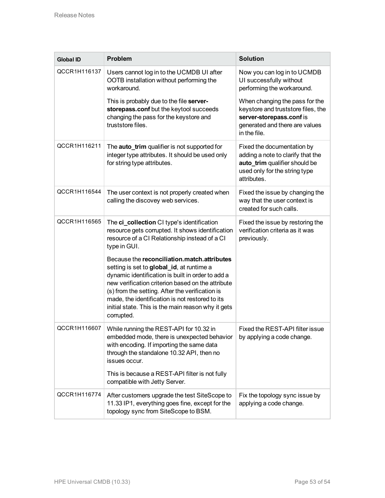| <b>Global ID</b> | <b>Problem</b>                                                                                                                                                                                                                                                                                                                                                               | <b>Solution</b>                                                                                                                                    |
|------------------|------------------------------------------------------------------------------------------------------------------------------------------------------------------------------------------------------------------------------------------------------------------------------------------------------------------------------------------------------------------------------|----------------------------------------------------------------------------------------------------------------------------------------------------|
| QCCR1H116137     | Users cannot log in to the UCMDB UI after<br>OOTB installation without performing the<br>workaround.                                                                                                                                                                                                                                                                         | Now you can log in to UCMDB<br>UI successfully without<br>performing the workaround.                                                               |
|                  | This is probably due to the file server-<br>storepass.conf but the keytool succeeds<br>changing the pass for the keystore and<br>truststore files.                                                                                                                                                                                                                           | When changing the pass for the<br>keystore and truststore files, the<br>server-storepass.conf is<br>generated and there are values<br>in the file. |
| QCCR1H116211     | The <b>auto_trim</b> qualifier is not supported for<br>integer type attributes. It should be used only<br>for string type attributes.                                                                                                                                                                                                                                        | Fixed the documentation by<br>adding a note to clarify that the<br>auto_trim qualifier should be<br>used only for the string type<br>attributes.   |
| QCCR1H116544     | The user context is not properly created when<br>calling the discovey web services.                                                                                                                                                                                                                                                                                          | Fixed the issue by changing the<br>way that the user context is<br>created for such calls.                                                         |
| QCCR1H116565     | The ci_collection CI type's identification<br>resource gets corrupted. It shows identification<br>resource of a CI Relationship instead of a CI<br>type in GUI.                                                                                                                                                                                                              | Fixed the issue by restoring the<br>verification criteria as it was<br>previously.                                                                 |
|                  | Because the reconciliation match attributes<br>setting is set to global_id, at runtime a<br>dynamic identification is built in order to add a<br>new verification criterion based on the attribute<br>(s) from the setting. After the verification is<br>made, the identification is not restored to its<br>initial state. This is the main reason why it gets<br>corrupted. |                                                                                                                                                    |
| QCCR1H116607     | While running the REST-API for 10.32 in<br>embedded mode, there is unexpected behavior<br>with encoding. If importing the same data<br>through the standalone 10.32 API, then no<br>issues occur.                                                                                                                                                                            | Fixed the REST-API filter issue<br>by applying a code change.                                                                                      |
|                  | This is because a REST-API filter is not fully<br>compatible with Jetty Server.                                                                                                                                                                                                                                                                                              |                                                                                                                                                    |
| QCCR1H116774     | After customers upgrade the test SiteScope to<br>11.33 IP1, everything goes fine, except for the<br>topology sync from SiteScope to BSM.                                                                                                                                                                                                                                     | Fix the topology sync issue by<br>applying a code change.                                                                                          |